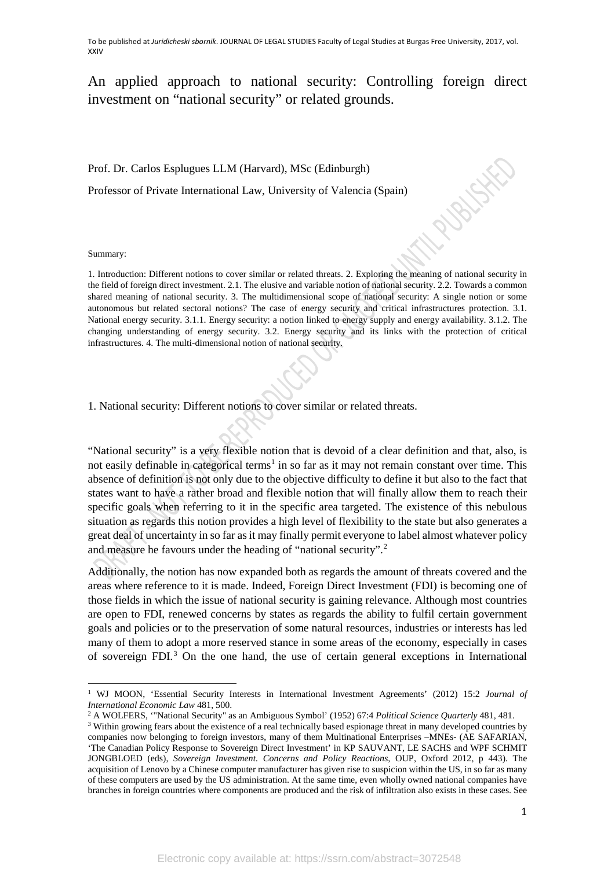## An applied approach to national security: Controlling foreign direct investment on "national security" or related grounds.

Prof. Dr. Carlos Esplugues LLM (Harvard), MSc (Edinburgh)

Professor of Private International Law, University of Valencia (Spain)

Summary:

 $\overline{a}$ 

1. Introduction: Different notions to cover similar or related threats. 2. Exploring the meaning of national security in the field of foreign direct investment. 2.1. The elusive and variable notion of national security. 2.2. Towards a common shared meaning of national security. 3. The multidimensional scope of national security: A single notion or some autonomous but related sectoral notions? The case of energy security and critical infrastructures protection. 3.1. National energy security. 3.1.1. Energy security: a notion linked to energy supply and energy availability. 3.1.2. The changing understanding of energy security. 3.2. Energy security and its links with the protection of critical infrastructures. 4. The multi-dimensional notion of national security.

1. National security: Different notions to cover similar or related threats.

"National security" is a very flexible notion that is devoid of a clear definition and that, also, is not easily definable in categorical terms<sup>[1](#page-0-0)</sup> in so far as it may not remain constant over time. This absence of definition is not only due to the objective difficulty to define it but also to the fact that states want to have a rather broad and flexible notion that will finally allow them to reach their specific goals when referring to it in the specific area targeted. The existence of this nebulous situation as regards this notion provides a high level of flexibility to the state but also generates a great deal of uncertainty in so far as it may finally permit everyone to label almost whatever policy and measure he favours under the heading of "national security".[2](#page-0-1)

Additionally, the notion has now expanded both as regards the amount of threats covered and the areas where reference to it is made. Indeed, Foreign Direct Investment (FDI) is becoming one of those fields in which the issue of national security is gaining relevance. Although most countries are open to FDI, renewed concerns by states as regards the ability to fulfil certain government goals and policies or to the preservation of some natural resources, industries or interests has led many of them to adopt a more reserved stance in some areas of the economy, especially in cases of sovereign FDI.[3](#page-0-2) On the one hand, the use of certain general exceptions in International

Russist

<span id="page-0-0"></span><sup>1</sup> WJ MOON, 'Essential Security Interests in International Investment Agreements' (2012) 15:2 *Journal of International Economic Law* 481, 500.

<sup>2</sup> A WOLFERS, '"National Security" as an Ambiguous Symbol' (1952) 67:4 *Political Science Quarterly* 481, 481.

<span id="page-0-2"></span><span id="page-0-1"></span><sup>&</sup>lt;sup>3</sup> Within growing fears about the existence of a real technically based espionage threat in many developed countries by companies now belonging to foreign investors, many of them Multinational Enterprises –MNEs- (AE SAFARIAN, 'The Canadian Policy Response to Sovereign Direct Investment' in KP SAUVANT, LE SACHS and WPF SCHMIT JONGBLOED (eds), *Sovereign Investment. Concerns and Policy Reactions,* OUP, Oxford 2012, p 443). The acquisition of Lenovo by a Chinese computer manufacturer has given rise to suspicion within the US, in so far as many of these computers are used by the US administration. At the same time, even wholly owned national companies have branches in foreign countries where components are produced and the risk of infiltration also exists in these cases. See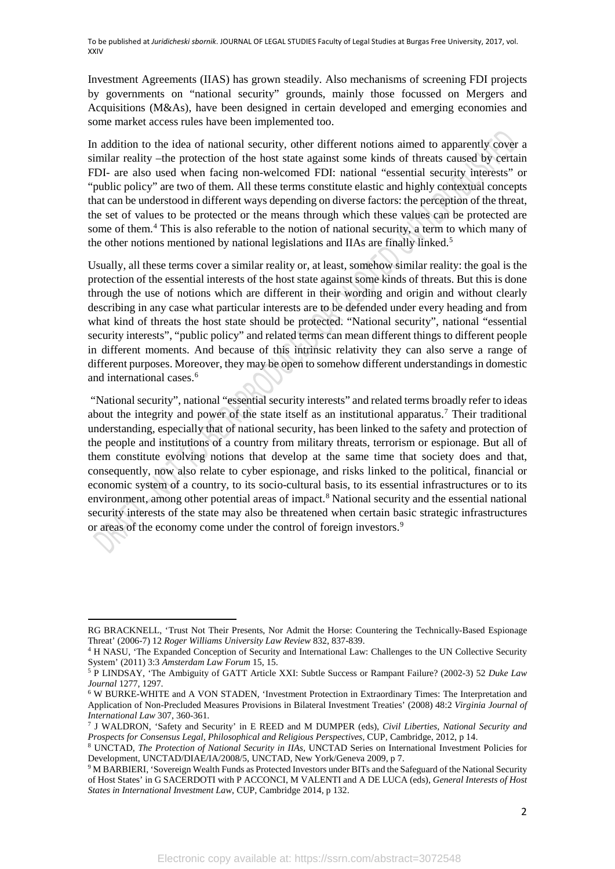Investment Agreements (IIAS) has grown steadily. Also mechanisms of screening FDI projects by governments on "national security" grounds, mainly those focussed on Mergers and Acquisitions (M&As), have been designed in certain developed and emerging economies and some market access rules have been implemented too.

In addition to the idea of national security, other different notions aimed to apparently cover a similar reality –the protection of the host state against some kinds of threats caused by certain FDI- are also used when facing non-welcomed FDI: national "essential security interests" or "public policy" are two of them. All these terms constitute elastic and highly contextual concepts that can be understood in different ways depending on diverse factors: the perception of the threat, the set of values to be protected or the means through which these values can be protected are some of them.<sup>[4](#page-1-0)</sup> This is also referable to the notion of national security, a term to which many of the other notions mentioned by national legislations and IIAs are finally linked.<sup>[5](#page-1-1)</sup>

Usually, all these terms cover a similar reality or, at least, somehow similar reality: the goal is the protection of the essential interests of the host state against some kinds of threats. But this is done through the use of notions which are different in their wording and origin and without clearly describing in any case what particular interests are to be defended under every heading and from what kind of threats the host state should be protected. "National security", national "essential security interests", "public policy" and related terms can mean different things to different people in different moments. And because of this intrinsic relativity they can also serve a range of different purposes. Moreover, they may be open to somehow different understandings in domestic and international cases.<sup>[6](#page-1-2)</sup>

"National security", national "essential security interests" and related terms broadly refer to ideas about the integrity and power of the state itself as an institutional apparatus.<sup>[7](#page-1-3)</sup> Their traditional understanding, especially that of national security, has been linked to the safety and protection of the people and institutions of a country from military threats, terrorism or espionage. But all of them constitute evolving notions that develop at the same time that society does and that, consequently, now also relate to cyber espionage, and risks linked to the political, financial or economic system of a country, to its socio-cultural basis, to its essential infrastructures or to its environment, among other potential areas of impact.<sup>8</sup> National security and the essential national security interests of the state may also be threatened when certain basic strategic infrastructures or areas of the economy come under the control of foreign investors.<sup>[9](#page-1-5)</sup>

<u>.</u>

RG BRACKNELL, 'Trust Not Their Presents, Nor Admit the Horse: Countering the Technically-Based Espionage Threat' (2006-7) 12 *Roger Williams University Law Review* 832, 837-839.

<span id="page-1-0"></span><sup>4</sup> H NASU, 'The Expanded Conception of Security and International Law: Challenges to the UN Collective Security System' (2011) 3:3 *Amsterdam Law Forum* 15, 15.

<span id="page-1-1"></span><sup>5</sup> P LINDSAY, 'The Ambiguity of GATT Article XXI: Subtle Success or Rampant Failure? (2002-3) 52 *Duke Law Journal* 1277, 1297.

<span id="page-1-2"></span><sup>6</sup> W BURKE-WHITE and A VON STADEN, 'Investment Protection in Extraordinary Times: The Interpretation and Application of Non-Precluded Measures Provisions in Bilateral Investment Treaties' (2008) 48:2 *Virginia Journal of International Law* 307, 360-361.

<span id="page-1-3"></span><sup>7</sup> J WALDRON, 'Safety and Security' in E REED and M DUMPER (eds), *Civil Liberties, National Security and Prospects for Consensus Legal, Philosophical and Religious Perspectives,* CUP, Cambridge, 2012, p 14.

<span id="page-1-4"></span><sup>8</sup> UNCTAD, *The Protection of National Security in IIAs,* UNCTAD Series on International Investment Policies for Development, UNCTAD/DIAE/IA/2008/5, UNCTAD, New York/Geneva 2009, p 7.

<span id="page-1-5"></span><sup>&</sup>lt;sup>9</sup> M BARBIERI, 'Sovereign Wealth Funds as Protected Investors under BITs and the Safeguard of the National Security of Host States' in G SACERDOTI with P ACCONCI, M VALENTI and A DE LUCA (eds), *General Interests of Host States in International Investment Law*, CUP, Cambridge 2014, p 132.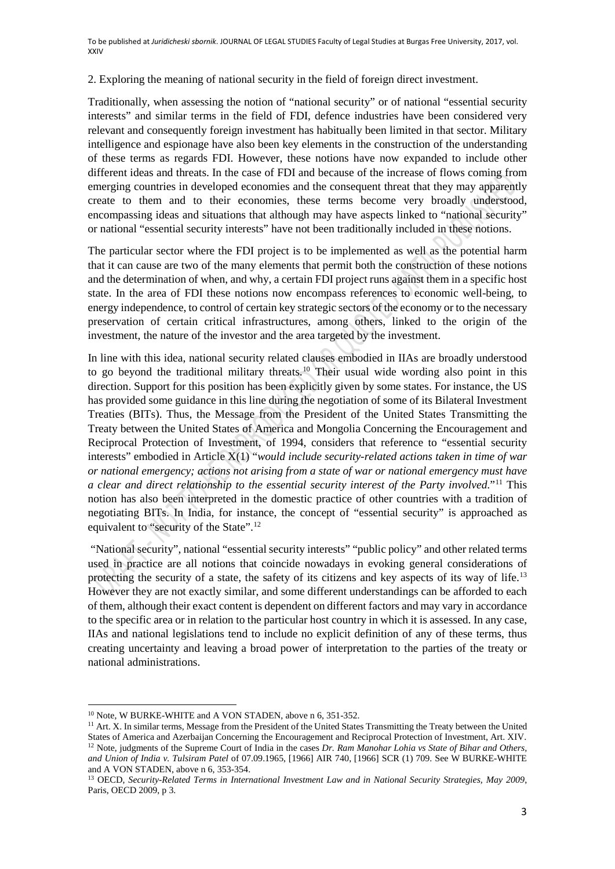2. Exploring the meaning of national security in the field of foreign direct investment.

Traditionally, when assessing the notion of "national security" or of national "essential security interests" and similar terms in the field of FDI, defence industries have been considered very relevant and consequently foreign investment has habitually been limited in that sector. Military intelligence and espionage have also been key elements in the construction of the understanding of these terms as regards FDI. However, these notions have now expanded to include other different ideas and threats. In the case of FDI and because of the increase of flows coming from emerging countries in developed economies and the consequent threat that they may apparently create to them and to their economies, these terms become very broadly understood, encompassing ideas and situations that although may have aspects linked to "national security" or national "essential security interests" have not been traditionally included in these notions.

The particular sector where the FDI project is to be implemented as well as the potential harm that it can cause are two of the many elements that permit both the construction of these notions and the determination of when, and why, a certain FDI project runs against them in a specific host state. In the area of FDI these notions now encompass references to economic well-being, to energy independence, to control of certain key strategic sectors of the economy or to the necessary preservation of certain critical infrastructures, among others, linked to the origin of the investment, the nature of the investor and the area targeted by the investment.

In line with this idea, national security related clauses embodied in IIAs are broadly understood to go beyond the traditional military threats.<sup>[10](#page-2-0)</sup> Their usual wide wording also point in this direction. Support for this position has been explicitly given by some states. For instance, the US has provided some guidance in this line during the negotiation of some of its Bilateral Investment Treaties (BITs). Thus, the Message from the President of the United States Transmitting the Treaty between the United States of America and Mongolia Concerning the Encouragement and Reciprocal Protection of Investment, of 1994, considers that reference to "essential security interests" embodied in Article X(1) "*would include security-related actions taken in time of war or national emergency; actions not arising from a state of war or national emergency must have a clear and direct relationship to the essential security interest of the Party involved*."[11](#page-2-1) This notion has also been interpreted in the domestic practice of other countries with a tradition of negotiating BITs. In India, for instance, the concept of "essential security" is approached as equivalent to "security of the State".<sup>[12](#page-2-2)</sup>

"National security", national "essential security interests" "public policy" and other related terms used in practice are all notions that coincide nowadays in evoking general considerations of protecting the security of a state, the safety of its citizens and key aspects of its way of life.[13](#page-2-3) However they are not exactly similar, and some different understandings can be afforded to each of them, although their exact content is dependent on different factors and may vary in accordance to the specific area or in relation to the particular host country in which it is assessed. In any case, IIAs and national legislations tend to include no explicit definition of any of these terms, thus creating uncertainty and leaving a broad power of interpretation to the parties of the treaty or national administrations.

<sup>&</sup>lt;u>.</u> <sup>10</sup> Note, W BURKE-WHITE and A VON STADEN, above n 6, 351-352.

<span id="page-2-2"></span><span id="page-2-1"></span><span id="page-2-0"></span><sup>&</sup>lt;sup>11</sup> Art. X. In similar terms, Message from the President of the United States Transmitting the Treaty between the United States of America and Azerbaijan Concerning the Encouragement and Reciprocal Protection of Investment, Art. XIV. <sup>12</sup> Note, judgments of the Supreme Court of India in the cases *Dr. Ram Manohar Lohia vs State of Bihar and Others, and Union of India v. Tulsiram Patel* of 07.09.1965, [1966] AIR 740, [1966] SCR (1) 709. See W BURKE-WHITE and A VON STADEN, above n 6, 353-354.

<span id="page-2-3"></span><sup>13</sup> OECD, *Security-Related Terms in International Investment Law and in National Security Strategies, May 2009*, Paris, OECD 2009, p 3.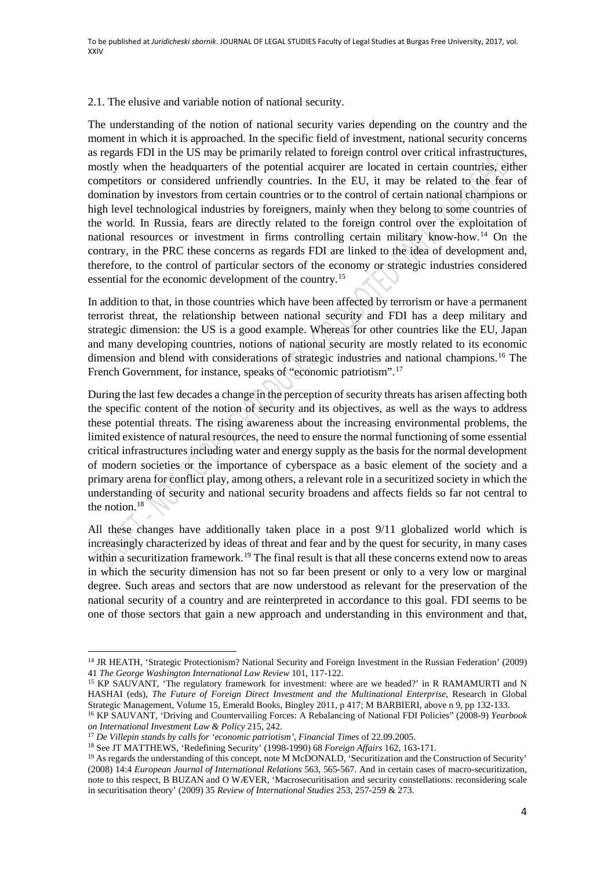## 2.1. The elusive and variable notion of national security.

The understanding of the notion of national security varies depending on the country and the moment in which it is approached. In the specific field of investment, national security concerns as regards FDI in the US may be primarily related to foreign control over critical infrastructures, mostly when the headquarters of the potential acquirer are located in certain countries, either competitors or considered unfriendly countries. In the EU, it may be related to the fear of domination by investors from certain countries or to the control of certain national champions or high level technological industries by foreigners, mainly when they belong to some countries of the world. In Russia, fears are directly related to the foreign control over the exploitation of national resources or investment in firms controlling certain military know-how.[14](#page-3-0) On the contrary, in the PRC these concerns as regards FDI are linked to the idea of development and, therefore, to the control of particular sectors of the economy or strategic industries considered essential for the economic development of the country.[15](#page-3-1)

In addition to that, in those countries which have been affected by terrorism or have a permanent terrorist threat, the relationship between national security and FDI has a deep military and strategic dimension: the US is a good example. Whereas for other countries like the EU, Japan and many developing countries, notions of national security are mostly related to its economic dimension and blend with considerations of strategic industries and national champions.<sup>[16](#page-3-2)</sup> The French Government, for instance, speaks of "economic patriotism".<sup>[17](#page-3-3)</sup>

During the last few decades a change in the perception of security threats has arisen affecting both the specific content of the notion of security and its objectives, as well as the ways to address these potential threats. The rising awareness about the increasing environmental problems, the limited existence of natural resources, the need to ensure the normal functioning of some essential critical infrastructures including water and energy supply as the basis for the normal development of modern societies or the importance of cyberspace as a basic element of the society and a primary arena for conflict play, among others, a relevant role in a securitized society in which the understanding of security and national security broadens and affects fields so far not central to the notion. $18$ 

All these changes have additionally taken place in a post 9/11 globalized world which is increasingly characterized by ideas of threat and fear and by the quest for security, in many cases within a securitization framework.<sup>[19](#page-3-5)</sup> The final result is that all these concerns extend now to areas in which the security dimension has not so far been present or only to a very low or marginal degree. Such areas and sectors that are now understood as relevant for the preservation of the national security of a country and are reinterpreted in accordance to this goal. FDI seems to be one of those sectors that gain a new approach and understanding in this environment and that,

<span id="page-3-0"></span><sup>&</sup>lt;sup>14</sup> JR HEATH, 'Strategic Protectionism? National Security and Foreign Investment in the Russian Federation' (2009) 41 *The George Washington International Law Review* 101, 117-122.

<span id="page-3-1"></span><sup>&</sup>lt;sup>15</sup> KP SAUVANT, 'The regulatory framework for investment: where are we headed?' in R RAMAMURTI and N HASHAI (eds), *The Future of Foreign Direct Investment and the Multinational Enterprise*, Research in Global Strategic Management, Volume 15, Emerald Books, Bingley 2011, p 417; M BARBIERI, above n 9, pp 132-133.

<span id="page-3-2"></span><sup>16</sup> KP SAUVANT, 'Driving and Countervailing Forces: A Rebalancing of National FDI Policies" (2008-9) *Yearbook on International Investment Law & Policy* 215, 242.

<span id="page-3-3"></span><sup>17</sup> *De Villepin stands by calls for 'economic patriotism'*, *Financial Times* of 22.09.2005. 18 See JT MATTHEWS, 'Redefining Security' (1998-1990) 68 *Foreign Affairs* 162, 163-171.

<span id="page-3-4"></span>

<span id="page-3-5"></span><sup>&</sup>lt;sup>19</sup> As regards the understanding of this concept, note M McDONALD, 'Securitization and the Construction of Security' (2008) 14:4 *European Journal of International Relations* 563, 565-567. And in certain cases of macro-securitization, note to this respect, B BUZAN and O WÆVER, 'Macrosecuritisation and security constellations: reconsidering scale in securitisation theory' (2009) 35 *Review of International Studies* 253, 257-259 & 273.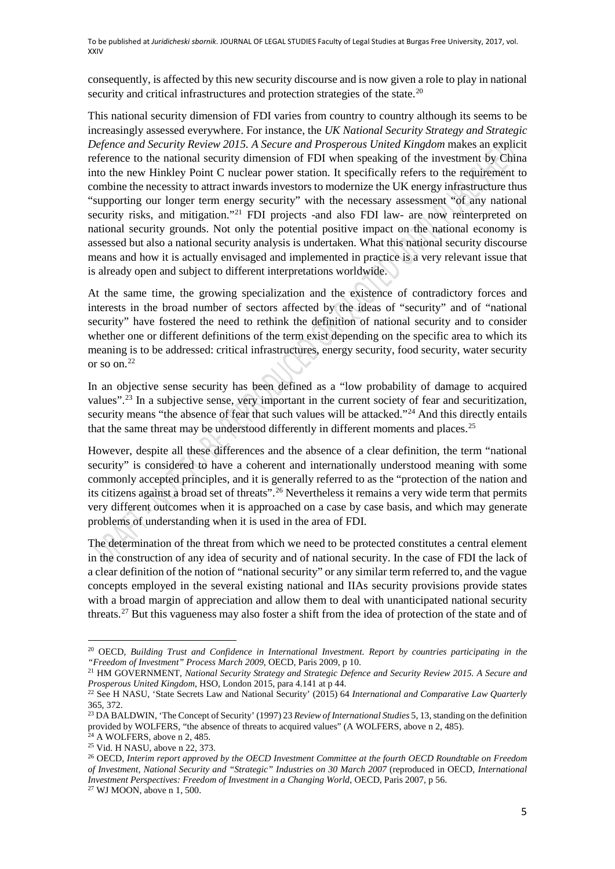consequently, is affected by this new security discourse and is now given a role to play in national security and critical infrastructures and protection strategies of the state.<sup>[20](#page-4-0)</sup>

This national security dimension of FDI varies from country to country although its seems to be increasingly assessed everywhere. For instance, the *UK National Security Strategy and Strategic Defence and Security Review 2015. A Secure and Prosperous United Kingdom* makes an explicit reference to the national security dimension of FDI when speaking of the investment by China into the new Hinkley Point C nuclear power station. It specifically refers to the requirement to combine the necessity to attract inwards investors to modernize the UK energy infrastructure thus "supporting our longer term energy security" with the necessary assessment "of any national security risks, and mitigation."<sup>21</sup> FDI projects -and also FDI law- are now reinterpreted on national security grounds. Not only the potential positive impact on the national economy is assessed but also a national security analysis is undertaken. What this national security discourse means and how it is actually envisaged and implemented in practice is a very relevant issue that is already open and subject to different interpretations worldwide.

At the same time, the growing specialization and the existence of contradictory forces and interests in the broad number of sectors affected by the ideas of "security" and of "national security" have fostered the need to rethink the definition of national security and to consider whether one or different definitions of the term exist depending on the specific area to which its meaning is to be addressed: critical infrastructures, energy security, food security, water security or so on.[22](#page-4-2) 

In an objective sense security has been defined as a "low probability of damage to acquired values".<sup>[23](#page-4-3)</sup> In a subjective sense, very important in the current society of fear and securitization, security means "the absence of fear that such values will be attacked."<sup>[24](#page-4-4)</sup> And this directly entails that the same threat may be understood differently in different moments and places.<sup>[25](#page-4-5)</sup>

However, despite all these differences and the absence of a clear definition, the term "national security" is considered to have a coherent and internationally understood meaning with some commonly accepted principles, and it is generally referred to as the "protection of the nation and its citizens against a broad set of threats".[26](#page-4-6) Nevertheless it remains a very wide term that permits very different outcomes when it is approached on a case by case basis, and which may generate problems of understanding when it is used in the area of FDI.

The determination of the threat from which we need to be protected constitutes a central element in the construction of any idea of security and of national security. In the case of FDI the lack of a clear definition of the notion of "national security" or any similar term referred to, and the vague concepts employed in the several existing national and IIAs security provisions provide states with a broad margin of appreciation and allow them to deal with unanticipated national security threats.<sup>[27](#page-4-7)</sup> But this vagueness may also foster a shift from the idea of protection of the state and of

<span id="page-4-1"></span><sup>21</sup> HM GOVERNMENT, *National Security Strategy and Strategic Defence and Security Review 2015. A Secure and Prosperous United Kingdom*, HSO, London 2015, para 4.141 at p 44.

 $\overline{a}$ 

<span id="page-4-0"></span><sup>20</sup> OECD, *Building Trust and Confidence in International Investment. Report by countries participating in the "Freedom of Investment" Process March 2009*, OECD, Paris 2009, p 10.

<span id="page-4-2"></span><sup>22</sup> See H NASU, 'State Secrets Law and National Security' (2015) 64 *International and Comparative Law Quarterly* 365, 372.

<span id="page-4-3"></span><sup>23</sup> DA BALDWIN, 'The Concept of Security' (1997) 23 *Review of International Studies* 5, 13, standing on the definition provided by WOLFERS, "the absence of threats to acquired values" (A WOLFERS, above n 2, 485).

<span id="page-4-4"></span> $24$  A WOLFERS, above n 2, 485. <sup>25</sup> Vid. H NASU, above n 22, 373.

<span id="page-4-6"></span><span id="page-4-5"></span><sup>26</sup> OECD, *Interim report approved by the OECD Investment Committee at the fourth OECD Roundtable on Freedom of Investment, National Security and "Strategic" Industries on 30 March 2007* (reproduced in OECD, *International Investment Perspectives: Freedom of Investment in a Changing World*, OECD, Paris 2007, p 56.

<span id="page-4-7"></span><sup>27</sup> WJ MOON, above n 1, 500.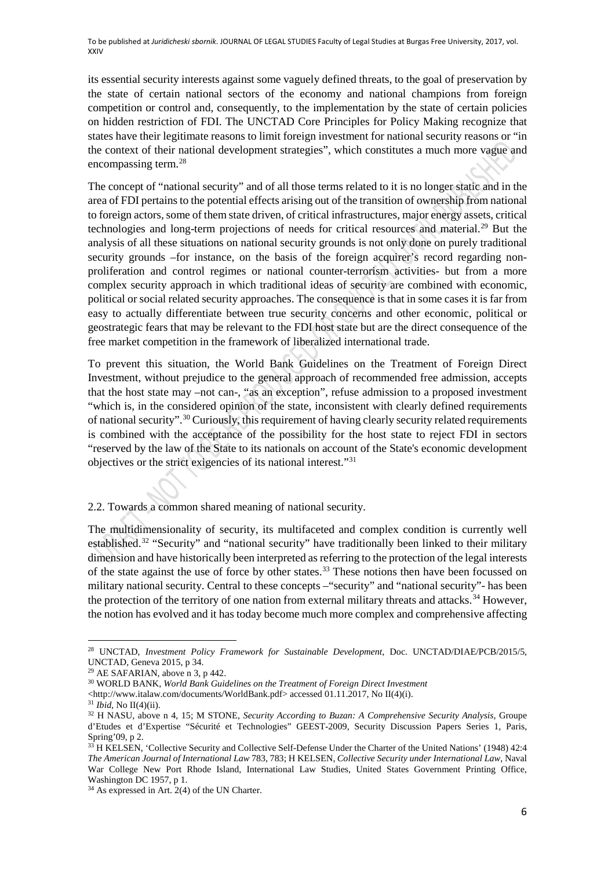its essential security interests against some vaguely defined threats, to the goal of preservation by the state of certain national sectors of the economy and national champions from foreign competition or control and, consequently, to the implementation by the state of certain policies on hidden restriction of FDI. The UNCTAD Core Principles for Policy Making recognize that states have their legitimate reasons to limit foreign investment for national security reasons or "in the context of their national development strategies", which constitutes a much more vague and encompassing term.[28](#page-5-0)

The concept of "national security" and of all those terms related to it is no longer static and in the area of FDI pertains to the potential effects arising out of the transition of ownership from national to foreign actors, some of them state driven, of critical infrastructures, major energy assets, critical technologies and long-term projections of needs for critical resources and material.[29](#page-5-1) But the analysis of all these situations on national security grounds is not only done on purely traditional security grounds –for instance, on the basis of the foreign acquirer's record regarding nonproliferation and control regimes or national counter-terrorism activities- but from a more complex security approach in which traditional ideas of security are combined with economic, political or social related security approaches. The consequence is that in some cases it is far from easy to actually differentiate between true security concerns and other economic, political or geostrategic fears that may be relevant to the FDI host state but are the direct consequence of the free market competition in the framework of liberalized international trade.

To prevent this situation, the World Bank Guidelines on the Treatment of Foreign Direct Investment, without prejudice to the general approach of recommended free admission, accepts that the host state may –not can-, "as an exception", refuse admission to a proposed investment "which is, in the considered opinion of the state, inconsistent with clearly defined requirements of national security".[30](#page-5-2) Curiously, this requirement of having clearly security related requirements is combined with the acceptance of the possibility for the host state to reject FDI in sectors "reserved by the law of the State to its nationals on account of the State's economic development objectives or the strict exigencies of its national interest."[31](#page-5-3)

2.2. Towards a common shared meaning of national security.

The multidimensionality of security, its multifaceted and complex condition is currently well established.<sup>[32](#page-5-4)</sup> "Security" and "national security" have traditionally been linked to their military dimension and have historically been interpreted as referring to the protection of the legal interests of the state against the use of force by other states.<sup>[33](#page-5-5)</sup> These notions then have been focussed on military national security. Central to these concepts –"security" and "national security"- has been the protection of the territory of one nation from external military threats and attacks.<sup>[34](#page-5-6)</sup> However, the notion has evolved and it has today become much more complex and comprehensive affecting

<span id="page-5-0"></span> $\overline{a}$ <sup>28</sup> UNCTAD, *Investment Policy Framework for Sustainable Development*, Doc. UNCTAD/DIAE/PCB/2015/5, UNCTAD, Geneva 2015, p 34.

<span id="page-5-2"></span><span id="page-5-1"></span>

<sup>&</sup>lt;sup>29</sup> AE SAFARIAN, above n 3, p 442.<br><sup>30</sup> WORLD BANK, *World Bank Guidelines on the Treatment of Foreign Direct Investment* 

[<sup>&</sup>lt;http://www.italaw.com/documents/WorldBank.pdf>](http://www.italaw.com/documents/WorldBank.pdf) accessed 01.11.2017, No II(4)(i).

<span id="page-5-3"></span><sup>31</sup> *Ibid*, No II(4)(ii).

<span id="page-5-4"></span><sup>32</sup> H NASU, above n 4, 15; M STONE, *Security According to Buzan: A Comprehensive Security Analysis*, Groupe d'Etudes et d'Expertise "Sécurité et Technologies" GEEST-2009, Security Discussion Papers Series 1, Paris, Spring'09, p 2.

<span id="page-5-5"></span><sup>&</sup>lt;sup>33</sup> H KELSEN, 'Collective Security and Collective Self-Defense Under the Charter of the United Nations' (1948) 42:4 *The American Journal of International Law* 783, 783; H KELSEN, *Collective Security under International Law*, Naval War College New Port Rhode Island, International Law Studies, United States Government Printing Office, Washington DC 1957, p 1.

<span id="page-5-6"></span><sup>34</sup> As expressed in Art. 2(4) of the UN Charter.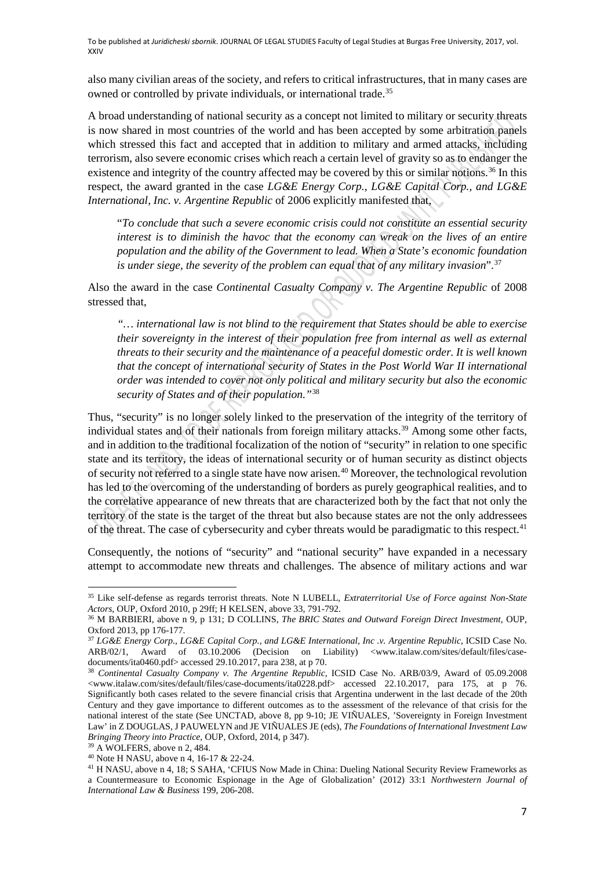also many civilian areas of the society, and refers to critical infrastructures, that in many cases are owned or controlled by private individuals, or international trade.<sup>[35](#page-6-0)</sup>

A broad understanding of national security as a concept not limited to military or security threats is now shared in most countries of the world and has been accepted by some arbitration panels which stressed this fact and accepted that in addition to military and armed attacks, including terrorism, also severe economic crises which reach a certain level of gravity so as to endanger the existence and integrity of the country affected may be covered by this or similar notions.<sup>[36](#page-6-1)</sup> In this respect, the award granted in the case *LG&E Energy Corp., LG&E Capital Corp., and LG&E International, Inc. v. Argentine Republic* of 2006 explicitly manifested that,

"*To conclude that such a severe economic crisis could not constitute an essential security interest is to diminish the havoc that the economy can wreak on the lives of an entire population and the ability of the Government to lead. When a State's economic foundation is under siege, the severity of the problem can equal that of any military invasion*".[37](#page-6-2)

Also the award in the case *Continental Casualty Company v. The Argentine Republic* of 2008 stressed that,

*"… international law is not blind to the requirement that States should be able to exercise their sovereignty in the interest of their population free from internal as well as external threats to their security and the maintenance of a peaceful domestic order. It is well known that the concept of international security of States in the Post World War II international order was intended to cover not only political and military security but also the economic security of States and of their population."*[38](#page-6-3)

Thus, "security" is no longer solely linked to the preservation of the integrity of the territory of individual states and of their nationals from foreign military attacks.<sup>[39](#page-6-4)</sup> Among some other facts, and in addition to the traditional focalization of the notion of "security" in relation to one specific state and its territory, the ideas of international security or of human security as distinct objects of security not referred to a single state have now arisen.[40](#page-6-5) Moreover, the technological revolution has led to the overcoming of the understanding of borders as purely geographical realities, and to the correlative appearance of new threats that are characterized both by the fact that not only the territory of the state is the target of the threat but also because states are not the only addressees of the threat. The case of cybersecurity and cyber threats would be paradigmatic to this respect.<sup>[41](#page-6-6)</sup>

Consequently, the notions of "security" and "national security" have expanded in a necessary attempt to accommodate new threats and challenges. The absence of military actions and war

 $\overline{a}$ 

<span id="page-6-0"></span><sup>35</sup> Like self-defense as regards terrorist threats. Note N LUBELL, *Extraterritorial Use of Force against Non-State Actors*, OUP, Oxford 2010, p 29ff; H KELSEN, above 33, 791-792.<br><sup>36</sup> M BARBIERI, above n 9, p 131; D COLLINS, *The BRIC States and Outward Foreign Direct Investment*, OUP,

<span id="page-6-1"></span>Oxford 2013, pp 176-177.

<span id="page-6-2"></span><sup>37</sup> *LG&E Energy Corp., LG&E Capital Corp., and LG&E International, Inc .v. Argentine Republic*, ICSID Case No. ARB/02/1, Award of 03.10.2006 (Decision on Liability) <www.italaw.com/sites/default/files/casedocuments/ita0460.pdf> accessed 29.10.2017, para 238, at p 70.

<span id="page-6-3"></span><sup>&</sup>lt;sup>38</sup> Continental Casualty Company v. The Argentine Republic, ICSID Case No. ARB/03/9, Award of 05.09.2008 [<www.italaw.com/sites/default/files/case-documents/ita0228.pdf>](http://www.italaw.com/sites/default/files/case-documents/ita0228.pdf) accessed 22.10.2017, para 175, at p 76. Significantly both cases related to the severe financial crisis that Argentina underwent in the last decade of the 20th Century and they gave importance to different outcomes as to the assessment of the relevance of that crisis for the national interest of the state (See UNCTAD, above 8, pp 9-10; JE VIÑUALES, 'Sovereignty in Foreign Investment Law' in Z DOUGLAS, J PAUWELYN and JE VIÑUALES JE (eds), *The Foundations of International Investment Law Bringing Theory into Practice*, OUP, Oxford, 2014, p 347).

<sup>39</sup> A WOLFERS, above n 2, 484.

<span id="page-6-5"></span><span id="page-6-4"></span><sup>40</sup> Note H NASU, above n 4, 16-17 & 22-24.

<span id="page-6-6"></span><sup>41</sup> H NASU, above n 4, 18; S SAHA, 'CFIUS Now Made in China: Dueling National Security Review Frameworks as a Countermeasure to Economic Espionage in the Age of Globalization' (2012) 33:1 *Northwestern Journal of International Law & Business* 199, 206-208.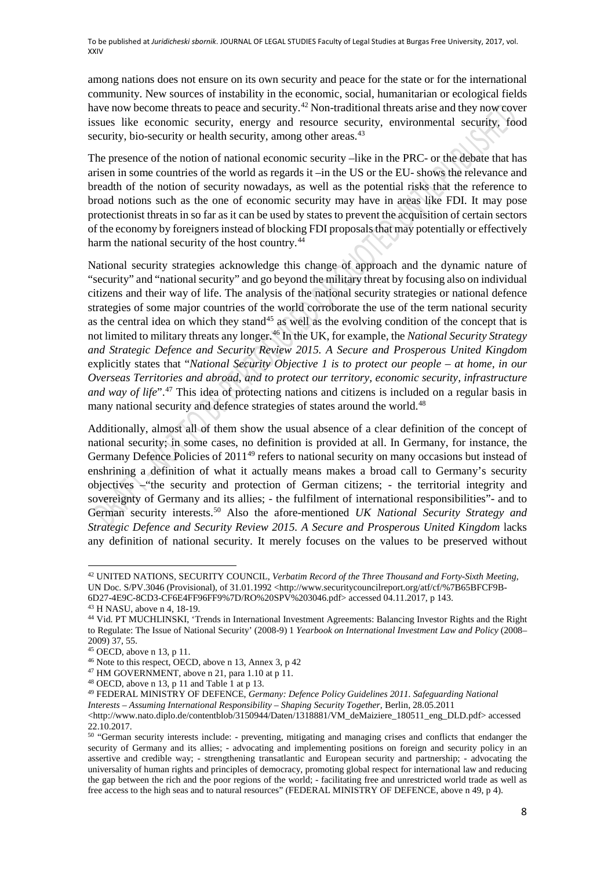among nations does not ensure on its own security and peace for the state or for the international community. New sources of instability in the economic, social, humanitarian or ecological fields have now become threats to peace and security.<sup>42</sup> Non-traditional threats arise and they now cover issues like economic security, energy and resource security, environmental security, food security, bio-security or health security, among other areas.<sup>43</sup>

The presence of the notion of national economic security –like in the PRC- or the debate that has arisen in some countries of the world as regards it –in the US or the EU- shows the relevance and breadth of the notion of security nowadays, as well as the potential risks that the reference to broad notions such as the one of economic security may have in areas like FDI. It may pose protectionist threats in so far as it can be used by states to prevent the acquisition of certain sectors of the economy by foreigners instead of blocking FDI proposals that may potentially or effectively harm the national security of the host country.<sup>[44](#page-7-2)</sup>

National security strategies acknowledge this change of approach and the dynamic nature of "security" and "national security" and go beyond the military threat by focusing also on individual citizens and their way of life. The analysis of the national security strategies or national defence strategies of some major countries of the world corroborate the use of the term national security as the central idea on which they stand<sup>[45](#page-7-3)</sup> as well as the evolving condition of the concept that is not limited to military threats any longer.[46](#page-7-4) In the UK, for example, the *National Security Strategy and Strategic Defence and Security Review 2015. A Secure and Prosperous United Kingdom*  explicitly states that "*National Security Objective 1 is to protect our people – at home, in our Overseas Territories and abroad, and to protect our territory, economic security, infrastructure and way of life*".<sup>[47](#page-7-5)</sup> This idea of protecting nations and citizens is included on a regular basis in many national security and defence strategies of states around the world.<sup>48</sup>

Additionally, almost all of them show the usual absence of a clear definition of the concept of national security; in some cases, no definition is provided at all. In Germany, for instance, the Germany Defence Policies of 2011<sup>[49](#page-7-7)</sup> refers to national security on many occasions but instead of enshrining a definition of what it actually means makes a broad call to Germany's security objectives –"the security and protection of German citizens; - the territorial integrity and sovereignty of Germany and its allies; - the fulfilment of international responsibilities"- and to German security interests.[50](#page-7-8) Also the afore-mentioned *UK National Security Strategy and Strategic Defence and Security Review 2015. A Secure and Prosperous United Kingdom* lacks any definition of national security. It merely focuses on the values to be preserved without

<span id="page-7-0"></span><sup>42</sup> UNITED NATIONS, SECURITY COUNCIL, *Verbatim Record of the Three Thousand and Forty-Sixth Meeting*, UN Doc. S/PV.3046 (Provisional), of 31.01.1992 [<http://www.securitycouncilreport.org/atf/cf/%7B65BFCF9B-](http://www.securitycouncilreport.org/atf/cf/%7B65BFCF9B-6D27-4E9C-8CD3-CF6E4FF96FF9%7D/RO%20SPV%203046.pdf)

[<sup>6</sup>D27-4E9C-8CD3-CF6E4FF96FF9%7D/RO%20SPV%203046.pdf>](http://www.securitycouncilreport.org/atf/cf/%7B65BFCF9B-6D27-4E9C-8CD3-CF6E4FF96FF9%7D/RO%20SPV%203046.pdf) accessed 04.11.2017, p 143.

<sup>43</sup> H NASU, above n 4, 18-19.

<span id="page-7-2"></span><span id="page-7-1"></span><sup>44</sup> Vid. PT MUCHLINSKI, 'Trends in International Investment Agreements: Balancing Investor Rights and the Right to Regulate: The Issue of National Security' (2008-9) 1 *Yearbook on International Investment Law and Policy* (2008– 2009) 37, 55.<br><sup>45</sup> OECD, above n 13, p 11.

<span id="page-7-4"></span><span id="page-7-3"></span> $46$  Note to this respect, OECD, above n 13, Annex 3, p 42

<span id="page-7-5"></span><sup>&</sup>lt;sup>47</sup> HM GOVERNMENT, above n 21, para 1.10 at p  $\hat{11}$ .<br><sup>48</sup> OECD, above n 13, p 11 and Table 1 at p 13.

<span id="page-7-7"></span><span id="page-7-6"></span><sup>&</sup>lt;sup>49</sup> FEDERAL MINISTRY OF DEFENCE, *Germany: Defence Policy Guidelines 2011. Safeguarding National* 

*Interests – Assuming International Responsibility – Shaping Security Together,* Berlin, 28.05.2011

[<sup>&</sup>lt;http://www.nato.diplo.de/contentblob/3150944/Daten/1318881/VM\\_deMaiziere\\_180511\\_eng\\_DLD.pdf>](http://www.nato.diplo.de/contentblob/3150944/Daten/1318881/VM_deMaiziere_180511_eng_DLD.pdf) accessed 22.10.2017.

<span id="page-7-8"></span><sup>50</sup> "German security interests include: - preventing, mitigating and managing crises and conflicts that endanger the security of Germany and its allies; - advocating and implementing positions on foreign and security policy in an assertive and credible way; - strengthening transatlantic and European security and partnership; - advocating the universality of human rights and principles of democracy, promoting global respect for international law and reducing the gap between the rich and the poor regions of the world; - facilitating free and unrestricted world trade as well as free access to the high seas and to natural resources" (FEDERAL MINISTRY OF DEFENCE, above n 49, p 4).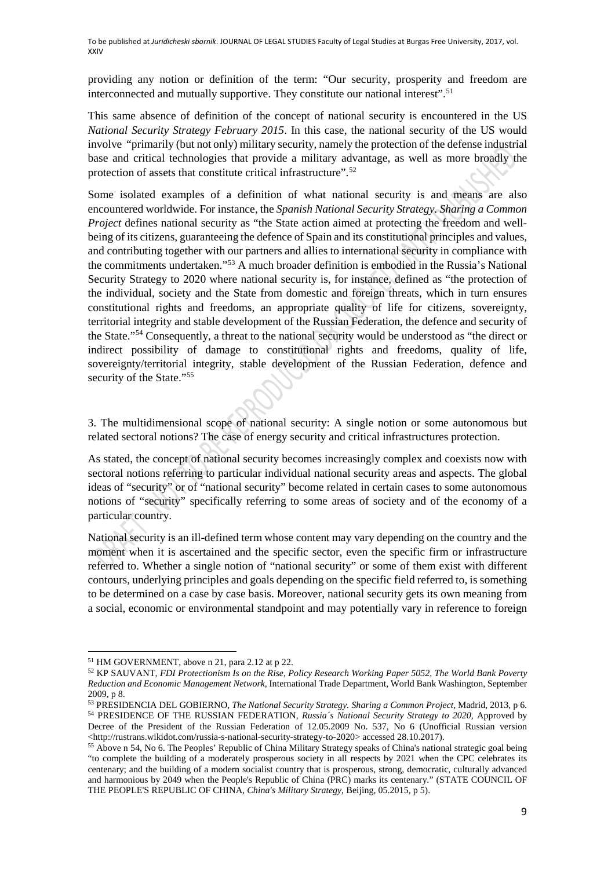providing any notion or definition of the term: "Our security, prosperity and freedom are interconnected and mutually supportive. They constitute our national interest".<sup>[51](#page-8-0)</sup>

This same absence of definition of the concept of national security is encountered in the US *National Security Strategy February 2015*. In this case, the national security of the US would involve "primarily (but not only) military security, namely the protection of the defense industrial base and critical technologies that provide a military advantage, as well as more broadly the protection of assets that constitute critical infrastructure".[52](#page-8-1)

Some isolated examples of a definition of what national security is and means are also encountered worldwide. For instance, the *Spanish National Security Strategy. Sharing a Common Project* defines national security as "the State action aimed at protecting the freedom and wellbeing of its citizens, guaranteeing the defence of Spain and its constitutional principles and values, and contributing together with our partners and allies to international security in compliance with the commitments undertaken."[53](#page-8-2) A much broader definition is embodied in the Russia's National Security Strategy to 2020 where national security is, for instance, defined as "the protection of the individual, society and the State from domestic and foreign threats, which in turn ensures constitutional rights and freedoms, an appropriate quality of life for citizens, sovereignty, territorial integrity and stable development of the Russian Federation, the defence and security of the State.["54](#page-8-3) Consequently, a threat to the national security would be understood as "the direct or indirect possibility of damage to constitutional rights and freedoms, quality of life, sovereignty/territorial integrity, stable development of the Russian Federation, defence and security of the State."<sup>[55](#page-8-4)</sup>

3. The multidimensional scope of national security: A single notion or some autonomous but related sectoral notions? The case of energy security and critical infrastructures protection.

As stated, the concept of national security becomes increasingly complex and coexists now with sectoral notions referring to particular individual national security areas and aspects. The global ideas of "security" or of "national security" become related in certain cases to some autonomous notions of "security" specifically referring to some areas of society and of the economy of a particular country.

National security is an ill-defined term whose content may vary depending on the country and the moment when it is ascertained and the specific sector, even the specific firm or infrastructure referred to. Whether a single notion of "national security" or some of them exist with different contours, underlying principles and goals depending on the specific field referred to, is something to be determined on a case by case basis. Moreover, national security gets its own meaning from a social, economic or environmental standpoint and may potentially vary in reference to foreign

<span id="page-8-1"></span><span id="page-8-0"></span><sup>51</sup> HM GOVERNMENT, above n 21, para 2.12 at p 22.

<sup>52</sup> KP SAUVANT, *FDI Protectionism Is on the Rise, Policy Research Working Paper 5052, The World Bank Poverty Reduction and Economic Management Network*, International Trade Department, World Bank Washington, September 2009, p 8.

<span id="page-8-3"></span><span id="page-8-2"></span><sup>53</sup> PRESIDENCIA DEL GOBIERNO, *The National Security Strategy. Sharing a Common Project*, Madrid, 2013, p 6. <sup>54</sup> PRESIDENCE OF THE RUSSIAN FEDERATION, *Russia´s National Security Strategy to 2020*, Approved by Decree of the President of the Russian Federation of 12.05.2009 No. 537, No 6 (Unofficial Russian version [<http://rustrans.wikidot.com/russia-s-national-security-strategy-to-2020>](http://rustrans.wikidot.com/russia-s-national-security-strategy-to-2020) accessed 28.10.2017).

<span id="page-8-4"></span><sup>&</sup>lt;sup>55</sup> Above n 54, No 6. The Peoples' Republic of China Military Strategy speaks of China's national strategic goal being "to complete the building of a moderately prosperous society in all respects by 2021 when the CPC celebrates its centenary; and the building of a modern socialist country that is prosperous, strong, democratic, culturally advanced and harmonious by 2049 when the People's Republic of China (PRC) marks its centenary." (STATE COUNCIL OF THE PEOPLE'S REPUBLIC OF CHINA, *China's Military Strategy*, Beijing, 05.2015, p 5).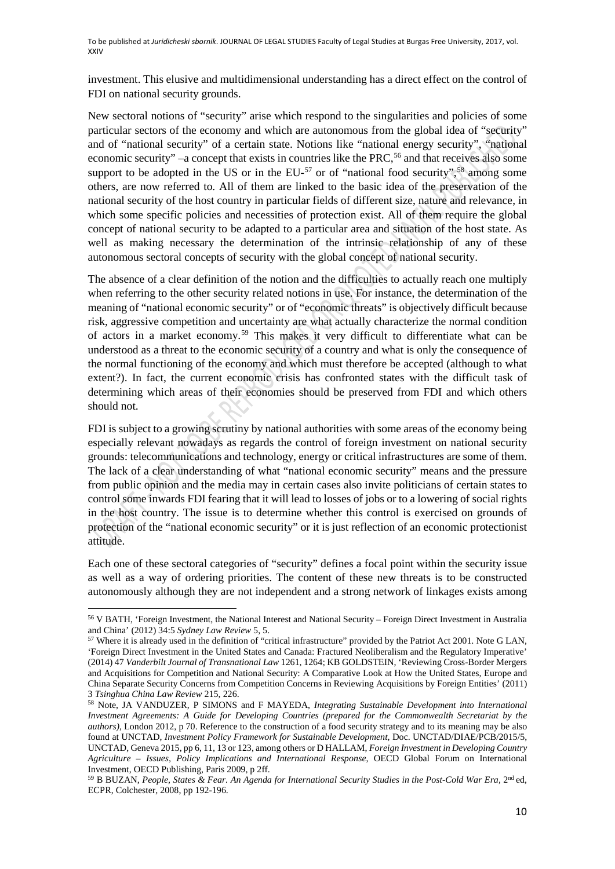investment. This elusive and multidimensional understanding has a direct effect on the control of FDI on national security grounds.

New sectoral notions of "security" arise which respond to the singularities and policies of some particular sectors of the economy and which are autonomous from the global idea of "security" and of "national security" of a certain state. Notions like "national energy security", "national economic security" –a concept that exists in countries like the PRC,<sup>56</sup> and that receives also some support to be adopted in the US or in the  $EU^{-57}$  $EU^{-57}$  $EU^{-57}$  or of "national food security",<sup>[58](#page-9-2)</sup> among some others, are now referred to. All of them are linked to the basic idea of the preservation of the national security of the host country in particular fields of different size, nature and relevance, in which some specific policies and necessities of protection exist. All of them require the global concept of national security to be adapted to a particular area and situation of the host state. As well as making necessary the determination of the intrinsic relationship of any of these autonomous sectoral concepts of security with the global concept of national security.

The absence of a clear definition of the notion and the difficulties to actually reach one multiply when referring to the other security related notions in use. For instance, the determination of the meaning of "national economic security" or of "economic threats" is objectively difficult because risk, aggressive competition and uncertainty are what actually characterize the normal condition of actors in a market economy.[59](#page-9-3) This makes it very difficult to differentiate what can be understood as a threat to the economic security of a country and what is only the consequence of the normal functioning of the economy and which must therefore be accepted (although to what extent?). In fact, the current economic crisis has confronted states with the difficult task of determining which areas of their economies should be preserved from FDI and which others should not.

FDI is subject to a growing scrutiny by national authorities with some areas of the economy being especially relevant nowadays as regards the control of foreign investment on national security grounds: telecommunications and technology, energy or critical infrastructures are some of them. The lack of a clear understanding of what "national economic security" means and the pressure from public opinion and the media may in certain cases also invite politicians of certain states to control some inwards FDI fearing that it will lead to losses of jobs or to a lowering of social rights in the host country. The issue is to determine whether this control is exercised on grounds of protection of the "national economic security" or it is just reflection of an economic protectionist attitude.

Each one of these sectoral categories of "security" defines a focal point within the security issue as well as a way of ordering priorities. The content of these new threats is to be constructed autonomously although they are not independent and a strong network of linkages exists among

 $\overline{a}$ 

<span id="page-9-0"></span><sup>56</sup> V BATH, 'Foreign Investment, the National Interest and National Security – Foreign Direct Investment in Australia and China' (2012) 34:5 *Sydney Law Review* 5, 5.

<span id="page-9-1"></span><sup>&</sup>lt;sup>57</sup> Where it is already used in the definition of "critical infrastructure" provided by the Patriot Act 2001. Note G LAN, 'Foreign Direct Investment in the United States and Canada: Fractured Neoliberalism and the Regulatory Imperative' (2014) 47 *Vanderbilt Journal of Transnational Law* 1261, 1264; KB GOLDSTEIN, 'Reviewing Cross-Border Mergers and Acquisitions for Competition and National Security: A Comparative Look at How the United States, Europe and China Separate Security Concerns from Competition Concerns in Reviewing Acquisitions by Foreign Entities' (2011) 3 *Tsinghua China Law Review* 215, 226.

<span id="page-9-2"></span><sup>58</sup> Note, JA VANDUZER, P SIMONS and F MAYEDA, *Integrating Sustainable Development into International Investment Agreements: A Guide for Developing Countries (prepared for the Commonwealth Secretariat by the authors)*, London 2012, p 70. Reference to the construction of a food security strategy and to its meaning may be also found at UNCTAD, *Investment Policy Framework for Sustainable Development*, Doc. UNCTAD/DIAE/PCB/2015/5, UNCTAD, Geneva 2015, pp 6, 11, 13 or 123, among others or D HALLAM, *Foreign Investment in Developing Country Agriculture – Issues, Policy Implications and International Response*, OECD Global Forum on International Investment, OECD Publishing, Paris 2009, p 2ff.

<span id="page-9-3"></span><sup>59</sup> B BUZAN, *People, States & Fear. An Agenda for International Security Studies in the Post-Cold War Era,* 2nd ed, ECPR, Colchester, 2008, pp 192-196.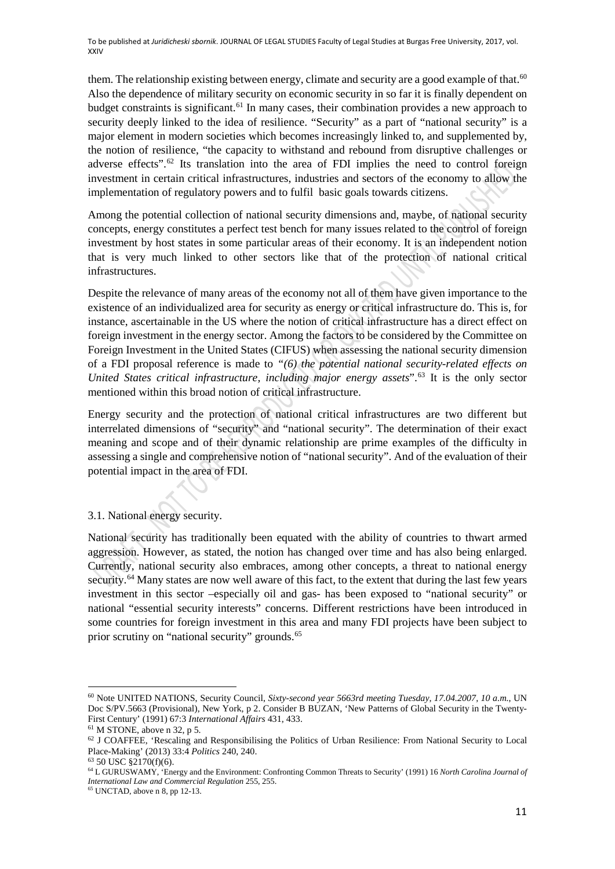them. The relationship existing between energy, climate and security are a good example of that.<sup>60</sup> Also the dependence of military security on economic security in so far it is finally dependent on budget constraints is significant.[61](#page-10-1) In many cases, their combination provides a new approach to security deeply linked to the idea of resilience. "Security" as a part of "national security" is a major element in modern societies which becomes increasingly linked to, and supplemented by, the notion of resilience, "the capacity to withstand and rebound from disruptive challenges or adverse effects".[62](#page-10-2) Its translation into the area of FDI implies the need to control foreign investment in certain critical infrastructures, industries and sectors of the economy to allow the implementation of regulatory powers and to fulfil basic goals towards citizens.

Among the potential collection of national security dimensions and, maybe, of national security concepts, energy constitutes a perfect test bench for many issues related to the control of foreign investment by host states in some particular areas of their economy. It is an independent notion that is very much linked to other sectors like that of the protection of national critical infrastructures.

Despite the relevance of many areas of the economy not all of them have given importance to the existence of an individualized area for security as energy or critical infrastructure do. This is, for instance, ascertainable in the US where the notion of critical infrastructure has a direct effect on foreign investment in the energy sector. Among the factors to be considered by the Committee on Foreign Investment in the United States (CIFUS) when assessing the national security dimension of a FDI proposal reference is made to *"(6) the potential national security-related effects on United States critical infrastructure, including major energy assets*".[63](#page-10-3) It is the only sector mentioned within this broad notion of critical infrastructure.

Energy security and the protection of national critical infrastructures are two different but interrelated dimensions of "security" and "national security". The determination of their exact meaning and scope and of their dynamic relationship are prime examples of the difficulty in assessing a single and comprehensive notion of "national security". And of the evaluation of their potential impact in the area of FDI.

## 3.1. National energy security.

National security has traditionally been equated with the ability of countries to thwart armed aggression. However, as stated, the notion has changed over time and has also being enlarged. Currently, national security also embraces, among other concepts, a threat to national energy security.<sup>[64](#page-10-4)</sup> Many states are now well aware of this fact, to the extent that during the last few years investment in this sector –especially oil and gas- has been exposed to "national security" or national "essential security interests" concerns. Different restrictions have been introduced in some countries for foreign investment in this area and many FDI projects have been subject to prior scrutiny on "national security" grounds.<sup>65</sup>

<span id="page-10-0"></span><sup>60</sup> Note UNITED NATIONS, Security Council, *Sixty-second year 5663rd meeting Tuesday, 17.04.2007, 10 a.m.*, UN Doc S/PV.5663 (Provisional), New York, p 2. Consider B BUZAN, 'New Patterns of Global Security in the Twenty-First Century' (1991) 67:3 *International Affairs* 431, 433.

<span id="page-10-2"></span><span id="page-10-1"></span><sup>&</sup>lt;sup>62</sup> J COAFFEE, 'Rescaling and Responsibilising the Politics of Urban Resilience: From National Security to Local Place-Making' (2013) 33:4 *Politics* 240, 240.

<span id="page-10-3"></span><sup>63</sup> 50 USC §2170(f)(6).

<span id="page-10-4"></span><sup>64</sup> L GURUSWAMY, 'Energy and the Environment: Confronting Common Threats to Security' (1991) 16 *North Carolina Journal of International Law and Commercial Regulation* 255, 255.

<span id="page-10-5"></span> $65$  UNCTAD, above n 8, pp 12-13.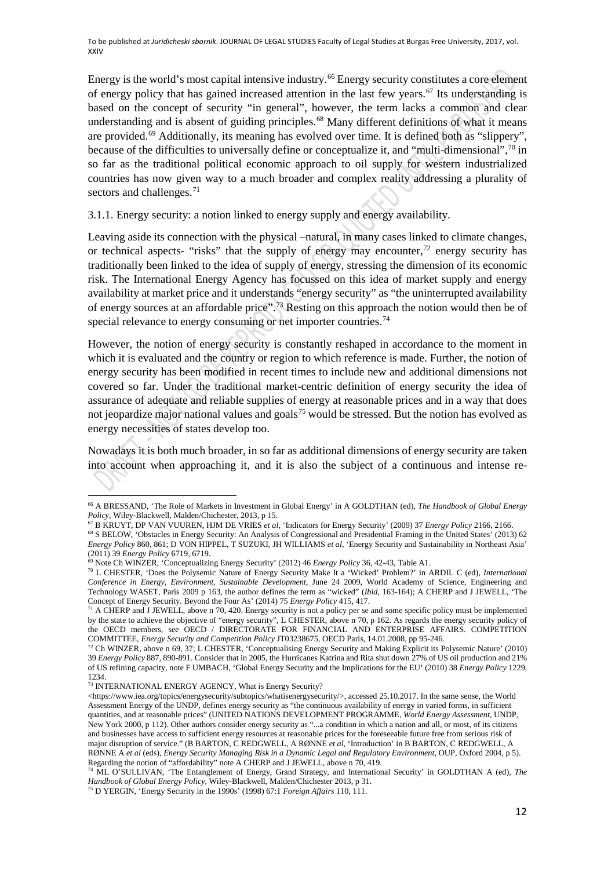Energy is the world's most capital intensive industry.<sup>[66](#page-11-0)</sup> Energy security constitutes a core element of energy policy that has gained increased attention in the last few years.<sup>[67](#page-11-1)</sup> Its understanding is based on the concept of security "in general", however, the term lacks a common and clear understanding and is absent of guiding principles.<sup>68</sup> Many different definitions of what it means are provided.<sup>[69](#page-11-3)</sup> Additionally, its meaning has evolved over time. It is defined both as "slippery", because of the difficulties to universally define or conceptualize it, and "multi-dimensional",  $^{70}$  $^{70}$  $^{70}$  in so far as the traditional political economic approach to oil supply for western industrialized countries has now given way to a much broader and complex reality addressing a plurality of sectors and challenges.<sup>[71](#page-11-5)</sup>

3.1.1. Energy security: a notion linked to energy supply and energy availability.

Leaving aside its connection with the physical –natural, in many cases linked to climate changes, or technical aspects- "risks" that the supply of energy may encounter,  $\frac{72}{12}$  $\frac{72}{12}$  $\frac{72}{12}$  energy security has traditionally been linked to the idea of supply of energy, stressing the dimension of its economic risk. The International Energy Agency has focussed on this idea of market supply and energy availability at market price and it understands "energy security" as "the uninterrupted availability of energy sources at an affordable price"[.73](#page-11-7) Resting on this approach the notion would then be of special relevance to energy consuming or net importer countries.<sup>[74](#page-11-8)</sup>

However, the notion of energy security is constantly reshaped in accordance to the moment in which it is evaluated and the country or region to which reference is made. Further, the notion of energy security has been modified in recent times to include new and additional dimensions not covered so far. Under the traditional market-centric definition of energy security the idea of assurance of adequate and reliable supplies of energy at reasonable prices and in a way that does not jeopardize major national values and goals<sup>[75](#page-11-9)</sup> would be stressed. But the notion has evolved as energy necessities of states develop too.

Nowadays it is both much broader, in so far as additional dimensions of energy security are taken into account when approaching it, and it is also the subject of a continuous and intense re-

<span id="page-11-0"></span><sup>66</sup> A BRESSAND, 'The Role of Markets in Investment in Global Energy' in A GOLDTHAN (ed), *The Handbook of Global Energy Policy*, Wiley-Blackwell, Malden/Chichester, 2013, p 15.

<sup>67</sup> B KRUYT, DP VAN VUUREN, HJM DE VRIES *et al*, 'Indicators for Energy Security' (2009) 37 *Energy Policy* 2166, 2166.

<span id="page-11-2"></span><span id="page-11-1"></span><sup>68</sup> S BELOW, 'Obstacles in Energy Security: An Analysis of Congressional and Presidential Framing in the United States' (2013) 62 *Energy Policy* 860, 861; D VON HIPPEL, T SUZUKI, JH WILLIAMS *et al*, 'Energy Security and Sustainability in Northeast Asia' (2011) 39 *Energy Policy* 6719, 6719.

<sup>69</sup> Note Ch WINZER, 'Conceptualizing Energy Security' (2012) 46 *Energy Policy* 36, 42-43, Table A1.

<span id="page-11-4"></span><span id="page-11-3"></span><sup>70</sup> L CHESTER, 'Does the Polysemic Nature of Energy Security Make It a 'Wicked' Problem?' in ARDIL C (ed), *International Conference in Energy, Environment, Sustainable Development*, June 24 2009, World Academy of Science, Engineering and Technology WASET, Paris 2009 p 163, the author defines the term as "wicked" (*Ibid*, 163-164); A CHERP and J JEWELL, 'The Concept of Energy Security. Beyond the Four As' (2014) 75 *Energy Policy* 415, 417.

<span id="page-11-5"></span> $71$  A CHERP and J JEWELL, above n 70, 420. Energy security is not a policy per se and some specific policy must be implemented by the state to achieve the objective of "energy security", L CHESTER, above n 70, p 162. As regards the energy security policy of the OECD members, see OECD / DIRECTORATE FOR FINANCIAL AND ENTERPRISE AFFAIRS. COMPETITION COMMITTEE, *Energy Security and Competition Policy* JT03238675, OECD Paris, 14.01.2008, pp 95-246.

<span id="page-11-6"></span><sup>72</sup> Ch WINZER, above n 69, 37; L CHESTER, 'Conceptualising Energy Security and Making Explicit its Polysemic Nature' (2010) 39 *Energy Policy* 887, 890-891. Consider that in 2005, the Hurricanes Katrina and Rita shut down 27% of US oil production and 21% of US refining capacity, note F UMBACH, 'Global Energy Security and the Implications for the EU' (2010) 38 *Energy Policy* 1229, 1234.

<span id="page-11-7"></span><sup>73</sup> INTERNATIONAL ENERGY AGENCY, What is Energy Security?

[<sup>&</sup>lt;https://www.iea.org/topics/energysecurity/subtopics/whatisenergysecurity/>](https://www.iea.org/topics/energysecurity/subtopics/whatisenergysecurity/), accessed 25.10.2017. In the same sense, the World Assessment Energy of the UNDP, defines energy security as "the continuous availability of energy in varied forms, in sufficient quantities, and at reasonable prices" (UNITED NATIONS DEVELOPMENT PROGRAMME, *World Energy Assessment*, UNDP, New York 2000, p 112). Other authors consider energy security as "...a condition in which a nation and all, or most, of its citizens and businesses have access to sufficient energy resources at reasonable prices for the foreseeable future free from serious risk of major disruption of service." (B BARTON, C REDGWELL, A RØNNE *et al*, 'Introduction' in B BARTON, C REDGWELL, A RØNNE A *et al* (eds), *Energy Security Managing Risk in a Dynamic Legal and Regulatory Environment*, OUP, Oxford 2004, p 5). Regarding the notion of "affordability" note A CHERP and J JEWELL, above n 70, 419.

<span id="page-11-8"></span><sup>74</sup> ML O'SULLIVAN, 'The Entanglement of Energy, Grand Strategy, and International Security' in GOLDTHAN A (ed), *The Handbook of Global Energy Policy*, Wiley-Blackwell, Malden/Chichester 2013, p 31.

<span id="page-11-9"></span><sup>75</sup> D YERGIN, 'Energy Security in the 1990s' (1998) 67:1 *Foreign Affairs* 110, 111.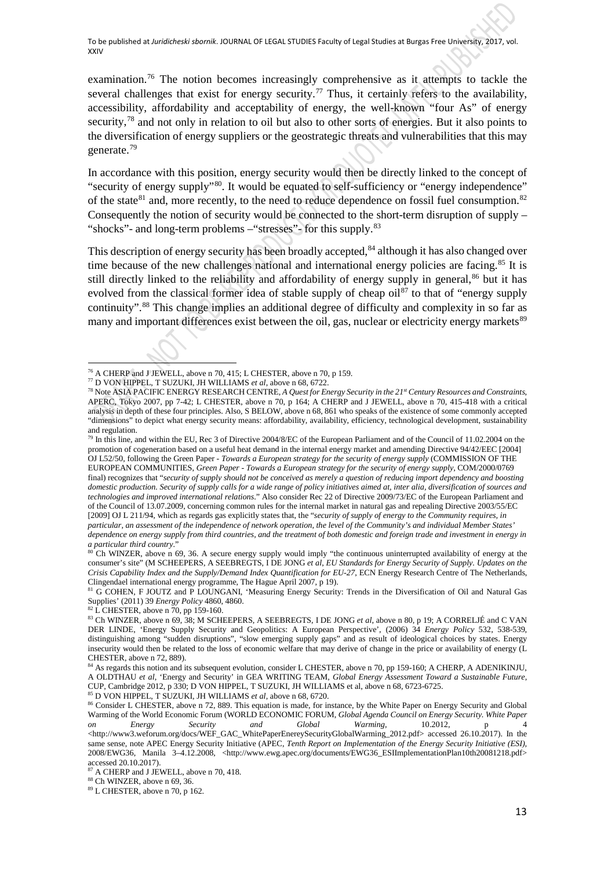examination.[76](#page-12-0) The notion becomes increasingly comprehensive as it attempts to tackle the several challenges that exist for energy security.<sup>[77](#page-12-1)</sup> Thus, it certainly refers to the availability, accessibility, affordability and acceptability of energy, the well-known "four As" of energy security,<sup>[78](#page-12-2)</sup> and not only in relation to oil but also to other sorts of energies. But it also points to the diversification of energy suppliers or the geostrategic threats and vulnerabilities that this may generate.[79](#page-12-3)

In accordance with this position, energy security would then be directly linked to the concept of "security of energy supply"[80.](#page-12-4) It would be equated to self-sufficiency or "energy independence" of the state<sup>[81](#page-12-5)</sup> and, more recently, to the need to reduce dependence on fossil fuel consumption.<sup>[82](#page-12-6)</sup> Consequently the notion of security would be connected to the short-term disruption of supply  $-$ "shocks"- and long-term problems – "stresses"- for this supply.<sup>[83](#page-12-7)</sup>

This description of energy security has been broadly accepted,<sup>84</sup> although it has also changed over time because of the new challenges national and international energy policies are facing.<sup>[85](#page-12-9)</sup> It is still directly linked to the reliability and affordability of energy supply in general,<sup>[86](#page-12-10)</sup> but it has evolved from the classical former idea of stable supply of cheap oil<sup>[87](#page-12-11)</sup> to that of "energy supply continuity".[88](#page-12-12) This change implies an additional degree of difficulty and complexity in so far as many and important differences exist between the oil, gas, nuclear or electricity energy markets<sup>[89](#page-12-13)</sup>

<span id="page-12-3"></span><sup>79</sup> In this line, and within the EU, Rec 3 of Directive 2004/8/EC of the European Parliament and of the Council of 11.02.2004 on the promotion of cogeneration based on a useful heat demand in the internal energy market and amending Directive 94/42/EEC [2004] OJ L52/50, following the Green Paper - *Towards a European strategy for the security of energy supply* (COMMISSION OF THE EUROPEAN COMMUNITIES, *Green Paper - Towards a European strategy for the security of energy supply*, COM/2000/0769 final) recognizes that "*security of supply should not be conceived as merely a question of reducing import dependency and boosting domestic production. Security of supply calls for a wide range of policy initiatives aimed at, inter alia, diversification of sources and technologies and improved international relations*." Also consider Rec 22 of Directive 2009/73/EC of the European Parliament and of the Council of 13.07.2009, concerning common rules for the internal market in natural gas and repealing Directive 2003/55/EC [2009] OJ L 211/94, which as regards gas explicitly states that, the "*security of supply of energy to the Community requires, in particular, an assessment of the independence of network operation, the level of the Community's and individual Member States' dependence on energy supply from third countries, and the treatment of both domestic and foreign trade and investment in energy in a particular third country*."

<span id="page-12-4"></span> $80^{\circ}$ Ch WINZER, above n 69, 36. A secure energy supply would imply "the continuous uninterrupted availability of energy at the consumer's site" (M SCHEEPERS, A SEEBREGTS, I DE JONG *et al*, *EU Standards for Energy Security of Supply. Updates on the Crisis Capability Index and the Supply/Demand Index Quantification for EU-27*, ECN Energy Research Centre of The Netherlands, Clingendael international energy programme, The Hague April 2007, p 19).

<span id="page-12-5"></span><sup>81</sup> G COHEN, F JOUTZ and P LOUNGANI, 'Measuring Energy Security: Trends in the Diversification of Oil and Natural Gas Supplies' (2011) 39 *Energy Policy* 4860, 4860.

<sup>82</sup> L CHESTER, above n 70, pp 159-160.

 $\overline{a}$ 

<sup>85</sup> D VON HIPPEL, T SUZUKI, JH WILLIAMS *et al*, above n 68, 6720.

<span id="page-12-13"></span><span id="page-12-12"></span><sup>88</sup> Ch WINZER, above n 69, 36.<br><sup>89</sup> L CHESTER, above n 70, p 162.

<sup>76</sup> A CHERP and J JEWELL, above n 70, 415; L CHESTER, above n 70, p 159.

<span id="page-12-1"></span><span id="page-12-0"></span><sup>77</sup> D VON HIPPEL, T SUZUKI, JH WILLIAMS *et al*, above n 68, 6722.

<span id="page-12-2"></span><sup>78</sup> Note ASIA PACIFIC ENERGY RESEARCH CENTRE, *A Quest for Energy Security in the 21st Century Resources and Constraints*, APERC, Tokyo 2007, pp 7-42; L CHESTER, above n 70, p 164; A CHERP and J JEWELL, above n 70, 415-418 with a critical analysis in depth of these four principles. Also, S BELOW, above n 68, 861 who speaks of the existence of some commonly accepted "dimensions" to depict what energy security means: affordability, availability, efficiency, technological development, sustainability and regulation.

<span id="page-12-7"></span><span id="page-12-6"></span><sup>83</sup> Ch WINZER, above n 69, 38; M SCHEEPERS, A SEEBREGTS, I DE JONG *et al*, above n 80, p 19; A CORRELJÉ and C VAN DER LINDE, 'Energy Supply Security and Geopolitics: A European Perspective', (2006) 34 *Energy Policy* 532, 538-539, distinguishing among "sudden disruptions", "slow emerging supply gaps" and as result of ideological choices by states. Energy insecurity would then be related to the loss of economic welfare that may derive of change in the price or availability of energy (L CHESTER, above n 72, 889).

<span id="page-12-8"></span><sup>&</sup>lt;sup>84</sup> As regards this notion and its subsequent evolution, consider L CHESTER, above n 70, pp 159-160; A CHERP, A ADENIKINJU, A OLDTHAU *et al*, 'Energy and Security' in GEA WRITING TEAM, *Global Energy Assessment Toward a Sustainable Future*, CUP, Cambridge 2012, p 330; D VON HIPPEL, T SUZUKI, JH WILLIAMS et al, above n 68, 6723-6725.

<span id="page-12-10"></span><span id="page-12-9"></span><sup>86</sup> Consider L CHESTER, above n 72, 889. This equation is made, for instance, by the White Paper on Energy Security and Global Warming of the World Economic Forum (WORLD ECONOMIC FORUM, *Global Agenda Council on Energy Security. White Paper Clobal Global Warming*, 10.2012, p 4 *on Energy Security and Global Warming*, 10.2012, p 4 <http://www3.weforum.org/docs/WEF\_GAC\_WhitePaperEnereySecurityGlobalWarming\_2012.pdf> accessed 26.10.2017). In the same sense, note APEC Energy Security Initiative (APEC, *Tenth Report on Implementation of the Energy Security Initiative (ESI),*  2008/EWG36, Manila 3–4.12.2008, [<http://www.ewg.apec.org/documents/EWG36\\_ESIImplementationPlan10th20081218.pdf>](http://www.ewg.apec.org/documents/EWG36_ESIImplementationPlan10th20081218.pdf)<br>accessed 20.10.2017).

<span id="page-12-11"></span><sup>&</sup>lt;sup>87</sup> A CHERP and J JEWELL, above n 70, 418.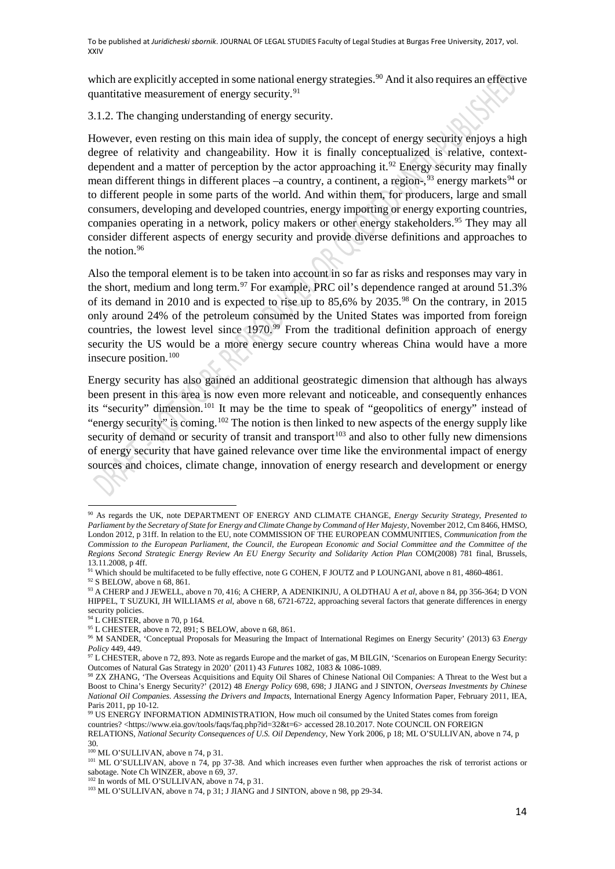which are explicitly accepted in some national energy strategies.<sup>[90](#page-13-0)</sup> And it also requires an effective quantitative measurement of energy security.<sup>[91](#page-13-1)</sup>

3.1.2. The changing understanding of energy security.

However, even resting on this main idea of supply, the concept of energy security enjoys a high degree of relativity and changeability. How it is finally conceptualized is relative, contextdependent and a matter of perception by the actor approaching it.<sup>92</sup> Energy security may finally mean different things in different places -a country, a continent, a region-,<sup>[93](#page-13-3)</sup> energy markets<sup>[94](#page-13-4)</sup> or to different people in some parts of the world. And within them, for producers, large and small consumers, developing and developed countries, energy importing or energy exporting countries, companies operating in a network, policy makers or other energy stakeholders.<sup>[95](#page-13-5)</sup> They may all consider different aspects of energy security and provide diverse definitions and approaches to the notion.<sup>[96](#page-13-6)</sup>

Also the temporal element is to be taken into account in so far as risks and responses may vary in the short, medium and long term.<sup>[97](#page-13-7)</sup> For example, PRC oil's dependence ranged at around 51.3% of its demand in 2010 and is expected to rise up to 85,6% by 2035.[98](#page-13-8) On the contrary, in 2015 only around 24% of the petroleum consumed by the United States was imported from foreign countries, the lowest level since  $1970.^{99}$  $1970.^{99}$  $1970.^{99}$  From the traditional definition approach of energy security the US would be a more energy secure country whereas China would have a more insecure position.[100](#page-13-10)

Energy security has also gained an additional geostrategic dimension that although has always been present in this area is now even more relevant and noticeable, and consequently enhances its "security" dimension.<sup>[101](#page-13-11)</sup> It may be the time to speak of "geopolitics of energy" instead of "energy security" is coming.[102](#page-13-12) The notion is then linked to new aspects of the energy supply like security of demand or security of transit and transport<sup>103</sup> and also to other fully new dimensions of energy security that have gained relevance over time like the environmental impact of energy sources and choices, climate change, innovation of energy research and development or energy

<span id="page-13-0"></span>**<sup>.</sup>** <sup>90</sup> As regards the UK, note DEPARTMENT OF ENERGY AND CLIMATE CHANGE, *Energy Security Strategy, Presented to Parliament by the Secretary of State for Energy and Climate Change by Command of Her Majesty,* November 2012, Cm 8466, HMSO, London 2012, p 31ff. In relation to the EU, note COMMISSION OF THE EUROPEAN COMMUNITIES, *Communication from the Commission to the European Parliament, the Council, the European Economic and Social Committee and the Committee of the Regions Second Strategic Energy Review An EU Energy Security and Solidarity Action Plan* COM(2008) 781 final, Brussels, 13.11.2008, p 4ff.

<span id="page-13-1"></span><sup>&</sup>lt;sup>91</sup> Which should be multifaceted to be fully effective, note G COHEN, F JOUTZ and P LOUNGANI, above n 81, 4860-4861.

<span id="page-13-2"></span><sup>92</sup> S BELOW, above n 68, 861.

<span id="page-13-3"></span><sup>93</sup> A CHERP and J JEWELL, above n 70, 416; A CHERP, A ADENIKINJU, A OLDTHAU A *et al*, above n 84, pp 356-364; D VON HIPPEL, T SUZUKI, JH WILLIAMS *et al*, above n 68, 6721-6722, approaching several factors that generate differences in energy

security policies.<br><sup>94</sup> L CHESTER, above n 70, p 164.

<span id="page-13-5"></span><span id="page-13-4"></span> $95$  L CHESTER, above n 72, 891; S BELOW, above n 68, 861.

<span id="page-13-6"></span><sup>96</sup> M SANDER, 'Conceptual Proposals for Measuring the Impact of International Regimes on Energy Security' (2013) 63 *Energy Policy* 449, 449.

<span id="page-13-7"></span><sup>&</sup>lt;sup>97</sup> L CHESTER, above n 72, 893. Note as regards Europe and the market of gas, M BILGIN, 'Scenarios on European Energy Security: Outcomes of Natural Gas Strategy in 2020' (2011) 43 *Futures* 1082, 1083 & 1086-1089.

<span id="page-13-8"></span><sup>98</sup> ZX ZHANG, 'The Overseas Acquisitions and Equity Oil Shares of Chinese National Oil Companies: A Threat to the West but a Boost to China's Energy Security?' (2012) 48 *Energy Policy* 698, 698; J JIANG and J SINTON, *Overseas Investments by Chinese National Oil Companies. Assessing the Drivers and Impacts*, International Energy Agency Information Paper, February 2011, IEA, Paris 2011, pp 10-12.

<span id="page-13-9"></span><sup>99</sup> US ENERGY INFORMATION ADMINISTRATION, How much oil consumed by the United States comes from foreign countries? [<https://www.eia.gov/tools/faqs/faq.php?id=32&t=6>](https://www.eia.gov/tools/faqs/faq.php?id=32&t=6) accessed 28.10.2017. Note COUNCIL ON FOREIGN

RELATIONS, *National Security Consequences of U.S. Oil Dependency*, New York 2006, p 18; ML O'SULLIVAN, above n 74, p 30.

<span id="page-13-11"></span><span id="page-13-10"></span><sup>&</sup>lt;sup>100</sup> ML O'SULLIVAN, above n 74, p 31.

<sup>&</sup>lt;sup>101</sup> ML O'SULLIVAN, above n 74, pp 37-38. And which increases even further when approaches the risk of terrorist actions or sabotage. Note Ch WINZER, above n 69, 37.

<sup>&</sup>lt;sup>102</sup> In words of ML O'SULLIVAN, above n 74, p 31.

<span id="page-13-13"></span><span id="page-13-12"></span><sup>&</sup>lt;sup>103</sup> ML O'SULLIVAN, above n 74, p 31; J JIANG and J SINTON, above n 98, pp 29-34.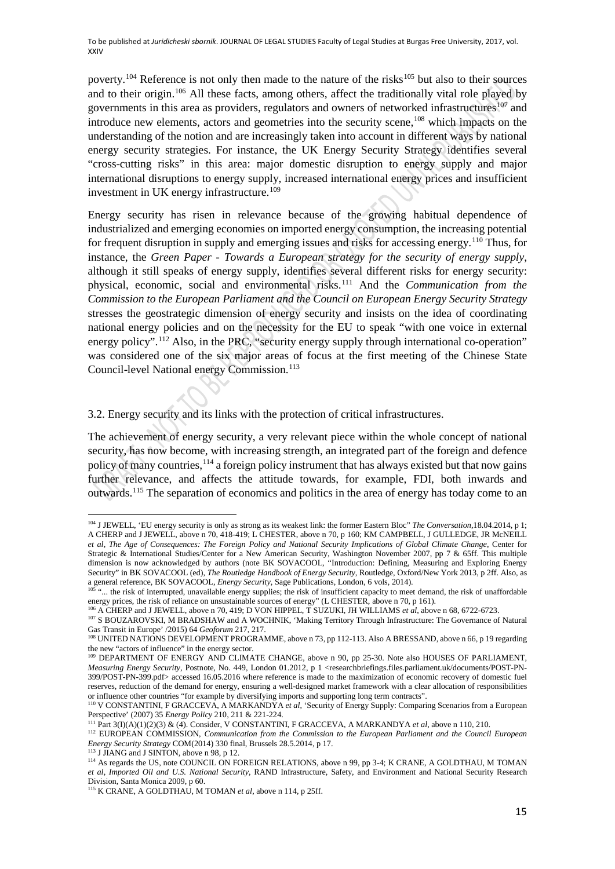poverty.<sup>[104](#page-14-0)</sup> Reference is not only then made to the nature of the risks<sup>[105](#page-14-1)</sup> but also to their sources and to their origin.<sup>[106](#page-14-2)</sup> All these facts, among others, affect the traditionally vital role played by governments in this area as providers, regulators and owners of networked infrastructures<sup>[107](#page-14-3)</sup> and introduce new elements, actors and geometries into the security scene,<sup>[108](#page-14-4)</sup> which impacts on the understanding of the notion and are increasingly taken into account in different ways by national energy security strategies. For instance, the UK Energy Security Strategy identifies several "cross-cutting risks" in this area: major domestic disruption to energy supply and major international disruptions to energy supply, increased international energy prices and insufficient investment in UK energy infrastructure.<sup>[109](#page-14-5)</sup>

Energy security has risen in relevance because of the growing habitual dependence of industrialized and emerging economies on imported energy consumption, the increasing potential for frequent disruption in supply and emerging issues and risks for accessing energy.[110](#page-14-6) Thus, for instance, the *Green Paper - Towards a European strategy for the security of energy supply*, although it still speaks of energy supply, identifies several different risks for energy security: physical, economic, social and environmental risks.[111](#page-14-7) And the *Communication from the Commission to the European Parliament and the Council on European Energy Security Strategy* stresses the geostrategic dimension of energy security and insists on the idea of coordinating national energy policies and on the necessity for the EU to speak "with one voice in external energy policy".<sup>112</sup> Also, in the PRC, "security energy supply through international co-operation" was considered one of the six major areas of focus at the first meeting of the Chinese State Council-level National energy Commission.<sup>[113](#page-14-9)</sup>

3.2. Energy security and its links with the protection of critical infrastructures.

The achievement of energy security, a very relevant piece within the whole concept of national security, has now become, with increasing strength, an integrated part of the foreign and defence policy of many countries, <sup>114</sup> a foreign policy instrument that has always existed but that now gains further relevance, and affects the attitude towards, for example, FDI, both inwards and outwards.[115](#page-14-11) The separation of economics and politics in the area of energy has today come to an

<span id="page-14-0"></span><sup>104</sup> J JEWELL, 'EU energy security is only as strong as its weakest link: the former Eastern Bloc" *The Conversation*,18.04.2014, p 1; A CHERP and J JEWELL, above n 70, 418-419; L CHESTER, above n 70, p 160; KM CAMPBELL, J GULLEDGE, JR McNEILL *et al*, *The Age of Consequences: The Foreign Policy and National Security Implications of Global Climate Change*, Center for Strategic & International Studies/Center for a New American Security, Washington November 2007, pp 7 & 65ff. This multiple dimension is now acknowledged by authors (note BK SOVACOOL, "Introduction: Defining, Measuring and Exploring Energy Security" in BK SOVACOOL (ed), *The Routledge Handbook of Energy Security*, Routledge, Oxford/New York 2013, p 2ff. Also, as a general reference, BK SOVACOOL, *Energy Security*, Sage Publications, London, 6 vols, 2014).

<span id="page-14-1"></span><sup>...</sup> the risk of interrupted, unavailable energy supplies; the risk of insufficient capacity to meet demand, the risk of unaffordable energy prices, the risk of reliance on unsustainable sources of energy" (L CHESTER, above n 70, p 161).

<span id="page-14-2"></span><sup>106</sup> A CHERP and J JEWELL, above n 70, 419; D VON HIPPEL, T SUZUKI, JH WILLIAMS *et al*, above n 68, 6722-6723.

<span id="page-14-3"></span><sup>&</sup>lt;sup>107</sup> S BOUZAROVSKI, M BRADSHAW and A WOCHNIK, 'Making Territory Through Infrastructure: The Governance of Natural Gas Transit in Europe' /2015) 64 *Geoforum* 217, 217.

<span id="page-14-4"></span><sup>108</sup> UNITED NATIONS DEVELOPMENT PROGRAMME, above n 73, pp 112-113. Also A BRESSAND, above n 66, p 19 regarding the new "actors of influence" in the energy sector.

<span id="page-14-5"></span><sup>&</sup>lt;sup>109</sup> DEPARTMENT OF ENERGY AND CLIMATE CHANGE, above n 90, pp 25-30. Note also HOUSES OF PARLIAMENT, *Measuring Energy Security*, Postnote, No. 449, London 01.2012, p 1 <researchbriefings.files.parliament.uk/documents/POST-PN-399/POST-PN-399.pdf> accessed 16.05.2016 where reference is made to the maximization of economic recovery of domestic fuel reserves, reduction of the demand for energy, ensuring a well-designed market framework with a clear allocation of responsibilities or influence other countries "for example by diversifying imports and supporting long term contracts".

<span id="page-14-6"></span><sup>110</sup> V CONSTANTINI, F GRACCEVA, A MARKANDYA *et al*, 'Security of Energy Supply: Comparing Scenarios from a European Perspective' (2007) 35 *Energy Policy* 210, 211 & 221-224.

<sup>111</sup> Part 3(I)(A)(1)(2)(3) & (4). Consider, V CONSTANTINI, F GRACCEVA, A MARKANDYA *et al*, above n 110, 210.

<span id="page-14-8"></span><span id="page-14-7"></span><sup>112</sup> EUROPEAN COMMISSION, *Communication from the Commission to the European Parliament and the Council European Energy Security Strategy* COM(2014) 330 final, Brussels 28.5.2014, p 17.

<span id="page-14-10"></span><span id="page-14-9"></span><sup>&</sup>lt;sup>113</sup> J JIANG and J SINTON, above n 98, p 12.<br><sup>114</sup> As regards the US, note COUNCIL ON FOREIGN RELATIONS, above n 99, pp 3-4; K CRANE, A GOLDTHAU, M TOMAN *et al*, *Imported Oil and U.S. National Security*, RAND Infrastructure, Safety, and Environment and National Security Research Division, Santa Monica 2009, p 60.

<span id="page-14-11"></span><sup>115</sup> K CRANE, A GOLDTHAU, M TOMAN *et al*, above n 114, p 25ff.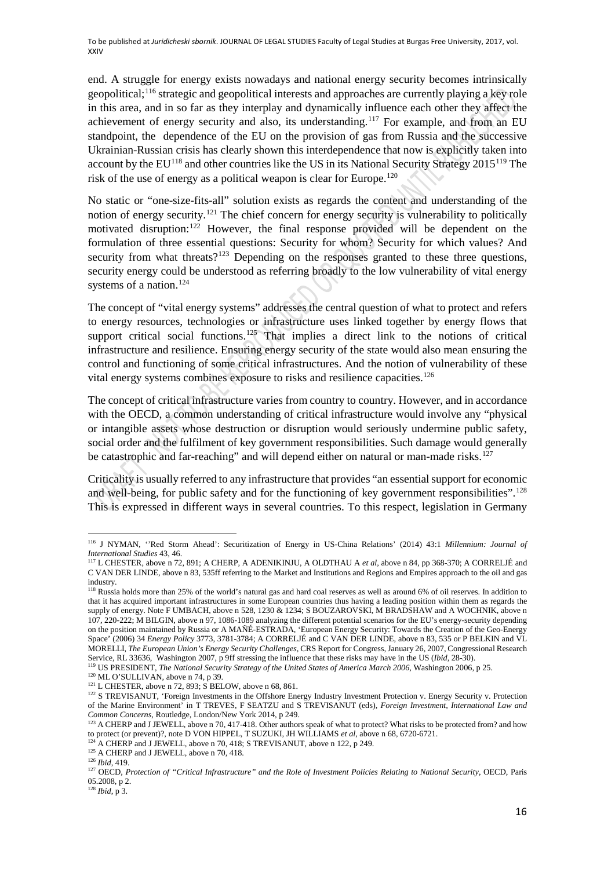end. A struggle for energy exists nowadays and national energy security becomes intrinsically geopolitical;<sup>[116](#page-15-0)</sup> strategic and geopolitical interests and approaches are currently playing a key role in this area, and in so far as they interplay and dynamically influence each other they affect the achievement of energy security and also, its understanding.<sup>[117](#page-15-1)</sup> For example, and from an EU standpoint, the dependence of the EU on the provision of gas from Russia and the successive Ukrainian-Russian crisis has clearly shown this interdependence that now is explicitly taken into account by the EU<sup>[118](#page-15-2)</sup> and other countries like the US in its National Security Strategy 2015<sup>[119](#page-15-3)</sup> The risk of the use of energy as a political weapon is clear for Europe.[120](#page-15-4)

No static or "one-size-fits-all" solution exists as regards the content and understanding of the notion of energy security.<sup>[121](#page-15-5)</sup> The chief concern for energy security is vulnerability to politically motivated disruption:<sup>[122](#page-15-6)</sup> However, the final response provided will be dependent on the formulation of three essential questions: Security for whom? Security for which values? And security from what threats?<sup>[123](#page-15-7)</sup> Depending on the responses granted to these three questions, security energy could be understood as referring broadly to the low vulnerability of vital energy systems of a nation.<sup>[124](#page-15-8)</sup>

The concept of "vital energy systems" addresses the central question of what to protect and refers to energy resources, technologies or infrastructure uses linked together by energy flows that support critical social functions.<sup>[125](#page-15-9)</sup> That implies a direct link to the notions of critical infrastructure and resilience. Ensuring energy security of the state would also mean ensuring the control and functioning of some critical infrastructures. And the notion of vulnerability of these vital energy systems combines exposure to risks and resilience capacities.<sup>[126](#page-15-10)</sup>

The concept of critical infrastructure varies from country to country. However, and in accordance with the OECD, a common understanding of critical infrastructure would involve any "physical or intangible assets whose destruction or disruption would seriously undermine public safety, social order and the fulfilment of key government responsibilities. Such damage would generally be catastrophic and far-reaching" and will depend either on natural or man-made risks.<sup>[127](#page-15-11)</sup>

Criticality is usually referred to any infrastructure that provides "an essential support for economic and well-being, for public safety and for the functioning of key government responsibilities".<sup>[128](#page-15-12)</sup> This is expressed in different ways in several countries. To this respect, legislation in Germany

<span id="page-15-0"></span> $\overline{a}$ <sup>116</sup> J NYMAN, ''Red Storm Ahead': Securitization of Energy in US-China Relations' (2014) 43:1 *Millennium: Journal of International Studies* 43, 46.

<span id="page-15-1"></span><sup>117</sup> L CHESTER, above n 72, 891; A CHERP, A ADENIKINJU, A OLDTHAU A *et al*, above n 84, pp 368-370; A CORRELJÉ and C VAN DER LINDE, above n 83, 535ff referring to the Market and Institutions and Regions and Empires approach to the oil and gas industry.

<span id="page-15-2"></span><sup>&</sup>lt;sup>118</sup> Russia holds more than 25% of the world's natural gas and hard coal reserves as well as around 6% of oil reserves. In addition to that it has acquired important infrastructures in some European countries thus having a leading position within them as regards the supply of energy. Note F UMBACH, above n 528, 1230 & 1234; S BOUZAROVSKI, M BRADSHAW and A WOCHNIK, above n 107, 220-222; M BILGIN, above n 97, 1086-1089 analyzing the different potential scenarios for the EU's energy-security depending on the position maintained by Russia or A MAÑÉ-ESTRADA, 'European Energy Security: Towards the Creation of the Geo-Energy Space' (2006) 34 *Energy Policy* 3773, 3781-3784; A CORRELJÉ and C VAN DER LINDE, above n 83, 535 or P BELKIN and VL MORELLI, *The European Union's Energy Security Challenges*, CRS Report for Congress, January 26, 2007, Congressional Research Service, RL 33636, Washington 2007, p 9ff stressing the influence that these risks may have in the US (*Ibid*, 28-30).

<span id="page-15-3"></span><sup>&</sup>lt;sup>119</sup> US PRESIDENT, *The National Security Strategy of the United States of America March 2006*, Washington 2006, p 25. <sup>120</sup> ML O'SULLIVAN, above n 74, p 39.

<span id="page-15-4"></span><sup>&</sup>lt;sup>121</sup> L CHESTER, above n 72, 893; S BELOW, above n 68, 861.

<span id="page-15-6"></span><span id="page-15-5"></span><sup>&</sup>lt;sup>122</sup> S TREVISANUT, 'Foreign Investments in the Offshore Energy Industry Investment Protection v. Energy Security v. Protection of the Marine Environment' in T TREVES, F SEATZU and S TREVISANUT (eds), *Foreign Investment, International Law and Common Concerns,* Routledge*,* London/New York 2014, p 249.

<span id="page-15-7"></span><sup>&</sup>lt;sup>123</sup> A CHERP and J JEWELL, above n 70, 417-418. Other authors speak of what to protect? What risks to be protected from? and how to protect (or prevent)?, note D VON HIPPEL, T SUZUKI, JH WILLIAMS *et al*, above n 68, 6720-6721.

<span id="page-15-8"></span><sup>&</sup>lt;sup>124</sup> A CHERP and J JEWELL, above n 70, 418; S TREVISANUT, above n 122, p 249. <sup>125</sup> A CHERP and J JEWELL, above n 70, 418.

<span id="page-15-10"></span><span id="page-15-9"></span><sup>126</sup> *Ibid*, 419.

<span id="page-15-11"></span><sup>&</sup>lt;sup>127</sup> OECD, Protection of "Critical Infrastructure" and the Role of Investment Policies Relating to National Security, OECD, Paris 05.2008, p 2.

<span id="page-15-12"></span><sup>128</sup> *Ibid*, p 3.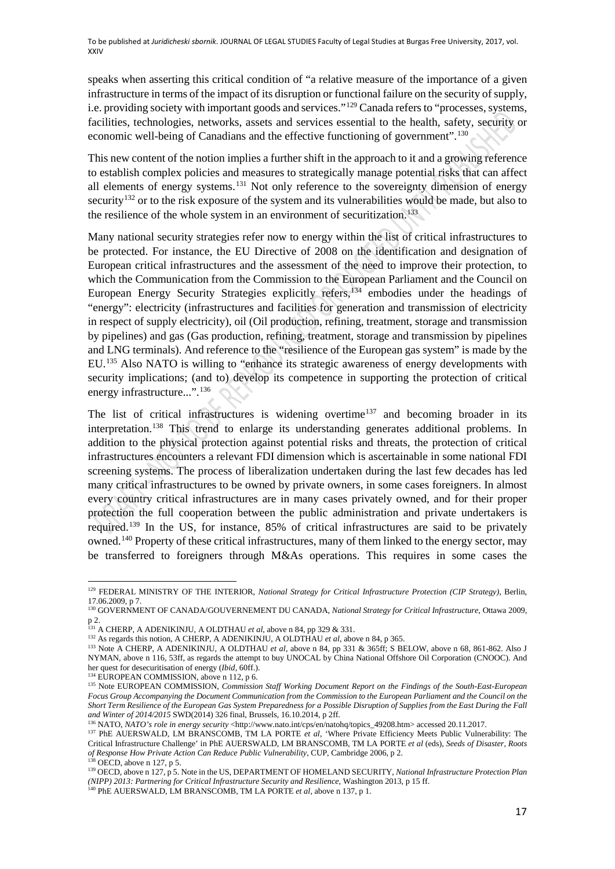speaks when asserting this critical condition of "a relative measure of the importance of a given infrastructure in terms of the impact of its disruption or functional failure on the security of supply, i.e. providing society with important goods and services."<sup>[129](#page-16-0)</sup> Canada refers to "processes, systems, facilities, technologies, networks, assets and services essential to the health, safety, security or economic well-being of Canadians and the effective functioning of government".[130](#page-16-1)

This new content of the notion implies a further shift in the approach to it and a growing reference to establish complex policies and measures to strategically manage potential risks that can affect all elements of energy systems.<sup>[131](#page-16-2)</sup> Not only reference to the sovereignty dimension of energy security<sup>132</sup> or to the risk exposure of the system and its vulnerabilities would be made, but also to the resilience of the whole system in an environment of securitization.<sup>[133](#page-16-4)</sup>

Many national security strategies refer now to energy within the list of critical infrastructures to be protected. For instance, the EU Directive of 2008 on the identification and designation of European critical infrastructures and the assessment of the need to improve their protection, to which the Communication from the Commission to the European Parliament and the Council on European Energy Security Strategies explicitly refers,[134](#page-16-5) embodies under the headings of "energy": electricity (infrastructures and facilities for generation and transmission of electricity in respect of supply electricity), oil (Oil production, refining, treatment, storage and transmission by pipelines) and gas (Gas production, refining, treatment, storage and transmission by pipelines and LNG terminals). And reference to the "resilience of the European gas system" is made by the EU.[135](#page-16-6) Also NATO is willing to "enhance its strategic awareness of energy developments with security implications; (and to) develop its competence in supporting the protection of critical energy infrastructure...".<sup>[136](#page-16-7)</sup>

The list of critical infrastructures is widening overtime<sup>[137](#page-16-8)</sup> and becoming broader in its interpretation.[138](#page-16-9) This trend to enlarge its understanding generates additional problems. In addition to the physical protection against potential risks and threats, the protection of critical infrastructures encounters a relevant FDI dimension which is ascertainable in some national FDI screening systems. The process of liberalization undertaken during the last few decades has led many critical infrastructures to be owned by private owners, in some cases foreigners. In almost every country critical infrastructures are in many cases privately owned, and for their proper protection the full cooperation between the public administration and private undertakers is required.[139](#page-16-10) In the US, for instance, 85% of critical infrastructures are said to be privately owned.[140](#page-16-11) Property of these critical infrastructures, many of them linked to the energy sector, may be transferred to foreigners through M&As operations. This requires in some cases the

<span id="page-16-0"></span>**<sup>.</sup>** <sup>129</sup> FEDERAL MINISTRY OF THE INTERIOR, *National Strategy for Critical Infrastructure Protection (CIP Strategy)*, Berlin, 17.06.2009, p 7.

<span id="page-16-1"></span><sup>130</sup> GOVERNMENT OF CANADA/GOUVERNEMENT DU CANADA, *National Strategy for Critical Infrastructure*, Ottawa 2009, p 2.

<sup>131</sup> A CHERP, A ADENIKINJU, A OLDTHAU *et al*, above n 84, pp 329 & 331.

<span id="page-16-3"></span><span id="page-16-2"></span><sup>132</sup> As regards this notion, A CHERP, A ADENIKINJU, A OLDTHAU *et al*, above n 84, p 365.

<span id="page-16-4"></span><sup>&</sup>lt;sup>133</sup> Note A CHERP, A ADENIKINJU, A OLDTHAU *et al*, above n 84, pp 331 & 365ff; S BELOW, above n 68, 861-862. Also J NYMAN, above n 116, 53ff, as regards the attempt to buy UNOCAL by China National Offshore Oil Corporation (CNOOC). And her quest for desecuritisation of energy (*Ibid*, 60ff.).

<sup>&</sup>lt;sup>134</sup> EUROPEAN COMMISSION, above n 112, p 6.

<span id="page-16-6"></span><span id="page-16-5"></span><sup>&</sup>lt;sup>135</sup> Note EUROPEAN COMMISSION, *Commission Staff Working Document Report on the Findings of the South-East-European Focus Group Accompanying the Document Communication from the Commission to the European Parliament and the Council on the Short Term Resilience of the European Gas System Preparedness for a Possible Disruption of Supplies from the East During the Fall and Winter of 2014/2015* SWD(2014) 326 final, Brussels, 16.10.2014, p 2ff.

<sup>136</sup> NATO, *NATO's role in energy security* [<http://www.nato.int/cps/en/natohq/topics\\_49208.htm>](http://www.nato.int/cps/en/natohq/topics_49208.htm) accessed 20.11.2017.

<span id="page-16-8"></span><span id="page-16-7"></span><sup>137</sup> PhE AUERSWALD, LM BRANSCOMB, TM LA PORTE *et al*, 'Where Private Efficiency Meets Public Vulnerability: The Critical Infrastructure Challenge' in PhE AUERSWALD, LM BRANSCOMB, TM LA PORTE *et al* (eds), *Seeds of Disaster, Roots of Response How Private Action Can Reduce Public Vulnerability*, CUP, Cambridge 2006, p 2. OECD, above n 127, p 5.

<span id="page-16-10"></span><span id="page-16-9"></span><sup>139</sup> OECD, above n 127, p 5. Note in the US, DEPARTMENT OF HOMELAND SECURITY, *National Infrastructure Protection Plan (NIPP) 2013: Partnering for Critical Infrastructure Security and Resilience*, Washington 2013, p 15 ff. 140 PhE AUERSWALD, LM BRANSCOMB, TM LA PORTE *et al*, above n 137, p 1.

<span id="page-16-11"></span>